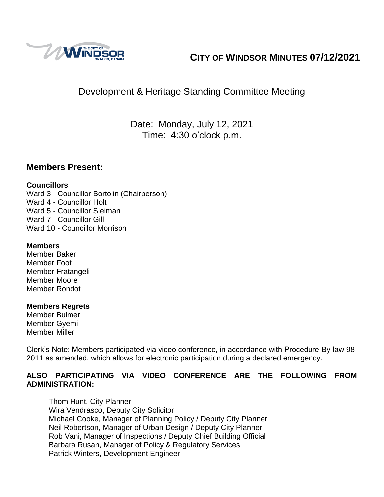

# **CITY OF WINDSOR MINUTES 07/12/2021**

# Development & Heritage Standing Committee Meeting

Date: Monday, July 12, 2021 Time: 4:30 o'clock p.m.

## **Members Present:**

## **Councillors**

Ward 3 - Councillor Bortolin (Chairperson) Ward 4 - Councillor Holt Ward 5 - Councillor Sleiman Ward 7 - Councillor Gill Ward 10 - Councillor Morrison

## **Members**

Member Baker Member Foot Member Fratangeli Member Moore Member Rondot

## **Members Regrets**

Member Bulmer Member Gyemi Member Miller

Clerk's Note: Members participated via video conference, in accordance with Procedure By-law 98- 2011 as amended, which allows for electronic participation during a declared emergency.

## **ALSO PARTICIPATING VIA VIDEO CONFERENCE ARE THE FOLLOWING FROM ADMINISTRATION:**

Thom Hunt, City Planner Wira Vendrasco, Deputy City Solicitor Michael Cooke, Manager of Planning Policy / Deputy City Planner Neil Robertson, Manager of Urban Design / Deputy City Planner Rob Vani, Manager of Inspections / Deputy Chief Building Official Barbara Rusan, Manager of Policy & Regulatory Services Patrick Winters, Development Engineer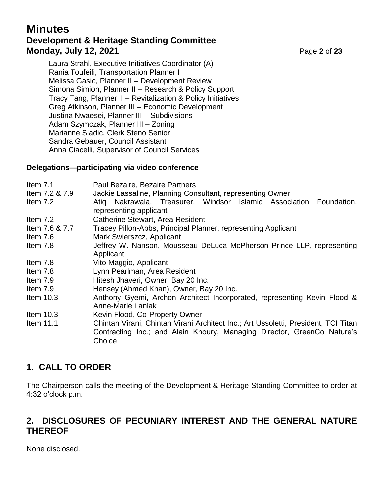# **Minutes Development & Heritage Standing Committee Monday, July 12, 2021 Page 2** of 23

Laura Strahl, Executive Initiatives Coordinator (A) Rania Toufeili, Transportation Planner I Melissa Gasic, Planner II – Development Review Simona Simion, Planner II – Research & Policy Support Tracy Tang, Planner II – Revitalization & Policy Initiatives Greg Atkinson, Planner III – Economic Development Justina Nwaesei, Planner III – Subdivisions Adam Szymczak, Planner III – Zoning Marianne Sladic, Clerk Steno Senior Sandra Gebauer, Council Assistant Anna Ciacelli, Supervisor of Council Services

### **Delegations—participating via video conference**

| Item $7.1$<br>Item 7.2 & 7.9 | Paul Bezaire, Bezaire Partners<br>Jackie Lassaline, Planning Consultant, representing Owner                                                                             |
|------------------------------|-------------------------------------------------------------------------------------------------------------------------------------------------------------------------|
| Item 7.2                     | Atiq Nakrawala, Treasurer, Windsor Islamic Association Foundation,<br>representing applicant                                                                            |
| Item $7.2$                   | <b>Catherine Stewart, Area Resident</b>                                                                                                                                 |
| Item 7.6 & 7.7               | Tracey Pillon-Abbs, Principal Planner, representing Applicant                                                                                                           |
| Item 7.6                     | Mark Swierszcz, Applicant                                                                                                                                               |
| Item 7.8                     | Jeffrey W. Nanson, Mousseau DeLuca McPherson Prince LLP, representing<br>Applicant                                                                                      |
| Item 7.8                     | Vito Maggio, Applicant                                                                                                                                                  |
| Item 7.8                     | Lynn Pearlman, Area Resident                                                                                                                                            |
| Item 7.9                     | Hitesh Jhaveri, Owner, Bay 20 Inc.                                                                                                                                      |
| Item 7.9                     | Hensey (Ahmed Khan), Owner, Bay 20 Inc.                                                                                                                                 |
| Item $10.3$                  | Anthony Gyemi, Archon Architect Incorporated, representing Kevin Flood &<br>Anne-Marie Laniak                                                                           |
| Item $10.3$                  | Kevin Flood, Co-Property Owner                                                                                                                                          |
| Item $11.1$                  | Chintan Virani, Chintan Virani Architect Inc.; Art Ussoletti, President, TCI Titan<br>Contracting Inc.; and Alain Khoury, Managing Director, GreenCo Nature's<br>Choice |

## **1. CALL TO ORDER**

The Chairperson calls the meeting of the Development & Heritage Standing Committee to order at 4:32 o'clock p.m.

## **2. DISCLOSURES OF PECUNIARY INTEREST AND THE GENERAL NATURE THEREOF**

None disclosed.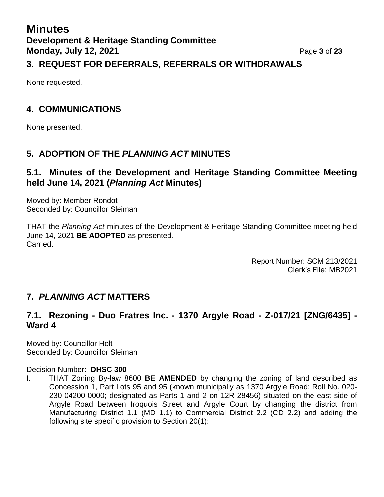## **3. REQUEST FOR DEFERRALS, REFERRALS OR WITHDRAWALS**

None requested.

## **4. COMMUNICATIONS**

None presented.

## **5. ADOPTION OF THE** *PLANNING ACT* **MINUTES**

## **5.1. Minutes of the Development and Heritage Standing Committee Meeting held June 14, 2021 (***Planning Act* **Minutes)**

Moved by: Member Rondot Seconded by: Councillor Sleiman

THAT the *Planning Act* minutes of the Development & Heritage Standing Committee meeting held June 14, 2021 **BE ADOPTED** as presented. Carried.

> Report Number: SCM 213/2021 Clerk's File: MB2021

## **7.** *PLANNING ACT* **MATTERS**

## **7.1. Rezoning - Duo Fratres Inc. - 1370 Argyle Road - Z-017/21 [ZNG/6435] - Ward 4**

Moved by: Councillor Holt Seconded by: Councillor Sleiman

#### Decision Number: **DHSC 300**

I. THAT Zoning By-law 8600 **BE AMENDED** by changing the zoning of land described as Concession 1, Part Lots 95 and 95 (known municipally as 1370 Argyle Road; Roll No. 020- 230-04200-0000; designated as Parts 1 and 2 on 12R-28456) situated on the east side of Argyle Road between Iroquois Street and Argyle Court by changing the district from Manufacturing District 1.1 (MD 1.1) to Commercial District 2.2 (CD 2.2) and adding the following site specific provision to Section 20(1):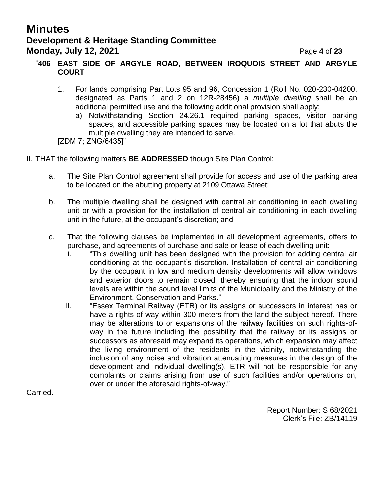# **Minutes Development & Heritage Standing Committee Monday, July 12, 2021 Page 4 of 23**

### "**406 EAST SIDE OF ARGYLE ROAD, BETWEEN IROQUOIS STREET AND ARGYLE COURT**

- 1. For lands comprising Part Lots 95 and 96, Concession 1 (Roll No. 020-230-04200, designated as Parts 1 and 2 on 12R-28456) a *multiple dwelling* shall be an additional permitted use and the following additional provision shall apply:
	- a) Notwithstanding Section 24.26.1 required parking spaces, visitor parking spaces, and accessible parking spaces may be located on a lot that abuts the multiple dwelling they are intended to serve.

[ZDM 7; ZNG/6435]"

- II. THAT the following matters **BE ADDRESSED** though Site Plan Control:
	- a. The Site Plan Control agreement shall provide for access and use of the parking area to be located on the abutting property at 2109 Ottawa Street;
	- b. The multiple dwelling shall be designed with central air conditioning in each dwelling unit or with a provision for the installation of central air conditioning in each dwelling unit in the future, at the occupant's discretion; and
	- c. That the following clauses be implemented in all development agreements, offers to purchase, and agreements of purchase and sale or lease of each dwelling unit:
		- i. "This dwelling unit has been designed with the provision for adding central air conditioning at the occupant's discretion. Installation of central air conditioning by the occupant in low and medium density developments will allow windows and exterior doors to remain closed, thereby ensuring that the indoor sound levels are within the sound level limits of the Municipality and the Ministry of the Environment, Conservation and Parks."
		- ii. "Essex Terminal Railway (ETR) or its assigns or successors in interest has or have a rights-of-way within 300 meters from the land the subject hereof. There may be alterations to or expansions of the railway facilities on such rights-ofway in the future including the possibility that the railway or its assigns or successors as aforesaid may expand its operations, which expansion may affect the living environment of the residents in the vicinity, notwithstanding the inclusion of any noise and vibration attenuating measures in the design of the development and individual dwelling(s). ETR will not be responsible for any complaints or claims arising from use of such facilities and/or operations on, over or under the aforesaid rights-of-way."

Carried.

Report Number: S 68/2021 Clerk's File: ZB/14119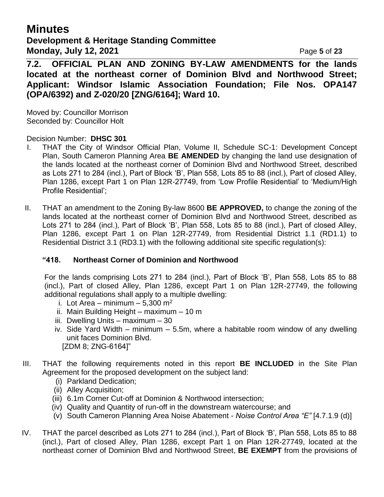## **Minutes Development & Heritage Standing Committee Monday, July 12, 2021 Page 5** of 23

**7.2. OFFICIAL PLAN AND ZONING BY-LAW AMENDMENTS for the lands located at the northeast corner of Dominion Blvd and Northwood Street; Applicant: Windsor Islamic Association Foundation; File Nos. OPA147 (OPA/6392) and Z-020/20 [ZNG/6164]; Ward 10.**

Moved by: Councillor Morrison Seconded by: Councillor Holt

### Decision Number: **DHSC 301**

- I. THAT the City of Windsor Official Plan, Volume II, Schedule SC-1: Development Concept Plan, South Cameron Planning Area **BE AMENDED** by changing the land use designation of the lands located at the northeast corner of Dominion Blvd and Northwood Street, described as Lots 271 to 284 (incl.), Part of Block 'B', Plan 558, Lots 85 to 88 (incl.), Part of closed Alley, Plan 1286, except Part 1 on Plan 12R-27749, from 'Low Profile Residential' to 'Medium/High Profile Residential';
- II. THAT an amendment to the Zoning By-law 8600 **BE APPROVED,** to change the zoning of the lands located at the northeast corner of Dominion Blvd and Northwood Street, described as Lots 271 to 284 (incl.), Part of Block 'B', Plan 558, Lots 85 to 88 (incl.), Part of closed Alley, Plan 1286, except Part 1 on Plan 12R-27749, from Residential District 1.1 (RD1.1) to Residential District 3.1 (RD3.1) with the following additional site specific regulation(s):

## **"418. Northeast Corner of Dominion and Northwood**

For the lands comprising Lots 271 to 284 (incl.), Part of Block 'B', Plan 558, Lots 85 to 88 (incl.), Part of closed Alley, Plan 1286, except Part 1 on Plan 12R-27749, the following additional regulations shall apply to a multiple dwelling:

- i. Lot Area minimum  $5,300 \text{ m}^2$
- ii. Main Building Height maximum 10 m
- iii. Dwelling Units maximum 30
- iv. Side Yard Width minimum 5.5m, where a habitable room window of any dwelling unit faces Dominion Blvd. [ZDM 8; ZNG-6164]"
- III. THAT the following requirements noted in this report **BE INCLUDED** in the Site Plan Agreement for the proposed development on the subject land:
	- (i) Parkland Dedication;
	- (ii) Alley Acquisition;
	- (iii) 6.1m Corner Cut-off at Dominion & Northwood intersection;
	- (iv) Quality and Quantity of run-off in the downstream watercourse; and
	- (v) South Cameron Planning Area Noise Abatement *Noise Control Area "E"* [4.7.1.9 (d)]
- IV. THAT the parcel described as Lots 271 to 284 (incl.), Part of Block 'B', Plan 558, Lots 85 to 88 (incl.), Part of closed Alley, Plan 1286, except Part 1 on Plan 12R-27749, located at the northeast corner of Dominion Blvd and Northwood Street, **BE EXEMPT** from the provisions of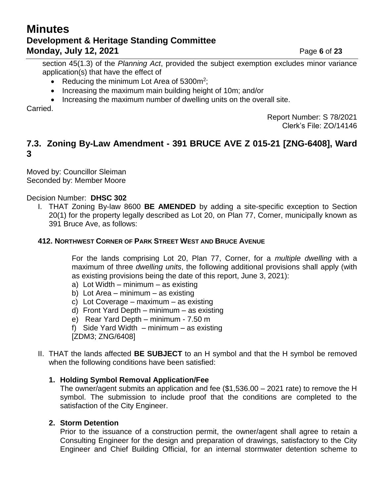# **Minutes Development & Heritage Standing Committee Monday, July 12, 2021 Page 6** of 23

section 45(1.3) of the *Planning Act*, provided the subject exemption excludes minor variance application(s) that have the effect of

- Reducing the minimum Lot Area of  $5300m^2$ ;
- Increasing the maximum main building height of 10m; and/or
- Increasing the maximum number of dwelling units on the overall site.

Carried.

Report Number: S 78/2021 Clerk's File: ZO/14146

## **7.3. Zoning By-Law Amendment - 391 BRUCE AVE Z 015-21 [ZNG-6408], Ward 3**

Moved by: Councillor Sleiman Seconded by: Member Moore

### Decision Number: **DHSC 302**

I. THAT Zoning By-law 8600 **BE AMENDED** by adding a site-specific exception to Section 20(1) for the property legally described as Lot 20, on Plan 77, Corner, municipally known as 391 Bruce Ave, as follows:

### **412. NORTHWEST CORNER OF PARK STREET WEST AND BRUCE AVENUE**

For the lands comprising Lot 20, Plan 77, Corner, for a *multiple dwelling* with a maximum of three *dwelling units*, the following additional provisions shall apply (with as existing provisions being the date of this report, June 3, 2021):

- a) Lot Width minimum as existing
- b) Lot Area minimum as existing
- c) Lot Coverage maximum as existing
- d) Front Yard Depth minimum as existing
- e) Rear Yard Depth minimum 7.50 m
- f) Side Yard Width minimum as existing
- [ZDM3; ZNG/6408]
- II. THAT the lands affected **BE SUBJECT** to an H symbol and that the H symbol be removed when the following conditions have been satisfied:

## **1. Holding Symbol Removal Application/Fee**

The owner/agent submits an application and fee (\$1,536.00 – 2021 rate) to remove the H symbol. The submission to include proof that the conditions are completed to the satisfaction of the City Engineer.

### **2. Storm Detention**

Prior to the issuance of a construction permit, the owner/agent shall agree to retain a Consulting Engineer for the design and preparation of drawings, satisfactory to the City Engineer and Chief Building Official, for an internal stormwater detention scheme to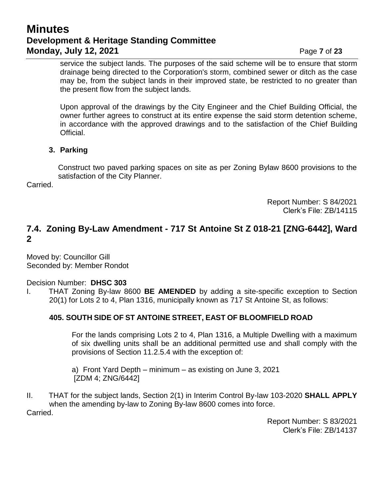## **Minutes Development & Heritage Standing Committee Monday, July 12, 2021 Page 7** of 23

service the subject lands. The purposes of the said scheme will be to ensure that storm drainage being directed to the Corporation's storm, combined sewer or ditch as the case may be, from the subject lands in their improved state, be restricted to no greater than the present flow from the subject lands.

Upon approval of the drawings by the City Engineer and the Chief Building Official, the owner further agrees to construct at its entire expense the said storm detention scheme, in accordance with the approved drawings and to the satisfaction of the Chief Building Official.

## **3. Parking**

Construct two paved parking spaces on site as per Zoning Bylaw 8600 provisions to the satisfaction of the City Planner.

Carried.

Report Number: S 84/2021 Clerk's File: ZB/14115

## **7.4. Zoning By-Law Amendment - 717 St Antoine St Z 018-21 [ZNG-6442], Ward 2**

Moved by: Councillor Gill Seconded by: Member Rondot

Decision Number: **DHSC 303**

I. THAT Zoning By-law 8600 **BE AMENDED** by adding a site-specific exception to Section 20(1) for Lots 2 to 4, Plan 1316, municipally known as 717 St Antoine St, as follows:

## **405. SOUTH SIDE OF ST ANTOINE STREET, EAST OF BLOOMFIELD ROAD**

For the lands comprising Lots 2 to 4, Plan 1316, a Multiple Dwelling with a maximum of six dwelling units shall be an additional permitted use and shall comply with the provisions of Section 11.2.5.4 with the exception of:

a) Front Yard Depth – minimum – as existing on June 3, 2021 [ZDM 4; ZNG/6442]

II. THAT for the subject lands, Section 2(1) in Interim Control By-law 103-2020 **SHALL APPLY** when the amending by-law to Zoning By-law 8600 comes into force.

Carried.

Report Number: S 83/2021 Clerk's File: ZB/14137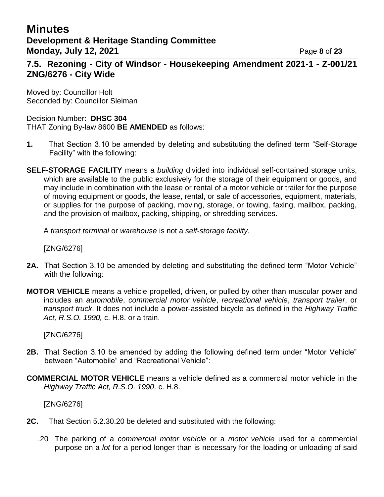## **Minutes Development & Heritage Standing Committee Monday, July 12, 2021 Page 8** of 23

## **7.5. Rezoning - City of Windsor - Housekeeping Amendment 2021-1 - Z-001/21 ZNG/6276 - City Wide**

Moved by: Councillor Holt Seconded by: Councillor Sleiman

### Decision Number: **DHSC 304**

THAT Zoning By-law 8600 **BE AMENDED** as follows:

- **1.** That Section 3.10 be amended by deleting and substituting the defined term "Self-Storage Facility" with the following:
- **SELF-STORAGE FACILITY** means a *building* divided into individual self-contained storage units, which are available to the public exclusively for the storage of their equipment or goods, and may include in combination with the lease or rental of a motor vehicle or trailer for the purpose of moving equipment or goods, the lease, rental, or sale of accessories, equipment, materials, or supplies for the purpose of packing, moving, storage, or towing, faxing, mailbox, packing, and the provision of mailbox, packing, shipping, or shredding services.

A *transport terminal* or *warehouse* is not a *self-storage facility*.

[ZNG/6276]

- **2A.** That Section 3.10 be amended by deleting and substituting the defined term "Motor Vehicle" with the following:
- **MOTOR VEHICLE** means a vehicle propelled, driven, or pulled by other than muscular power and includes an *automobile*, *commercial motor vehicle*, *recreational vehicle*, *transport trailer*, or *transport truck*. It does not include a power-assisted bicycle as defined in the *Highway Traffic Act, R.S.O. 1990,* c. H.8. or a train.

[ZNG/6276]

- **2B.** That Section 3.10 be amended by adding the following defined term under "Motor Vehicle" between "Automobile" and "Recreational Vehicle":
- **COMMERCIAL MOTOR VEHICLE** means a vehicle defined as a commercial motor vehicle in the *Highway Traffic Act, R.S.O. 1990,* c. H.8.

[ZNG/6276]

- **2C.** That Section 5.2.30.20 be deleted and substituted with the following:
	- .20 The parking of a *commercial motor vehicle* or a *motor vehicle* used for a commercial purpose on a *lot* for a period longer than is necessary for the loading or unloading of said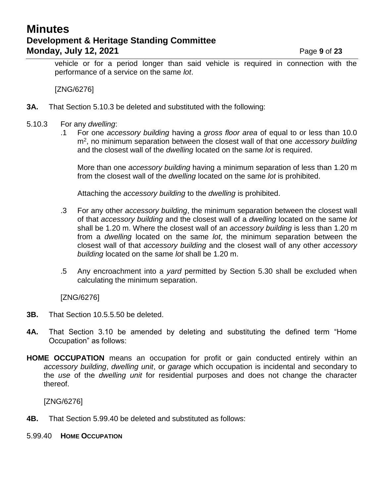# **Minutes Development & Heritage Standing Committee Monday, July 12, 2021 Page 9** of 23

vehicle or for a period longer than said vehicle is required in connection with the performance of a service on the same *lot*.

[ZNG/6276]

- **3A.** That Section 5.10.3 be deleted and substituted with the following:
- 5.10.3 For any *dwelling*:
	- .1 For one *accessory building* having a *gross floor area* of equal to or less than 10.0 m<sup>2</sup> , no minimum separation between the closest wall of that one *accessory building* and the closest wall of the *dwelling* located on the same *lot* is required.

More than one *accessory building* having a minimum separation of less than 1.20 m from the closest wall of the *dwelling* located on the same *lot* is prohibited.

Attaching the *accessory building* to the *dwelling* is prohibited.

- .3 For any other *accessory building*, the minimum separation between the closest wall of that *accessory building* and the closest wall of a *dwelling* located on the same *lot* shall be 1.20 m. Where the closest wall of an *accessory building* is less than 1.20 m from a *dwelling* located on the same *lot*, the minimum separation between the closest wall of that *accessory building* and the closest wall of any other *accessory building* located on the same *lot* shall be 1.20 m.
- .5 Any encroachment into a *yard* permitted by Section 5.30 shall be excluded when calculating the minimum separation.

[ZNG/6276]

- **3B.** That Section 10.5.5.50 be deleted.
- **4A.** That Section 3.10 be amended by deleting and substituting the defined term "Home Occupation" as follows:
- **HOME OCCUPATION** means an occupation for profit or gain conducted entirely within an *accessory building*, *dwelling unit*, or *garage* which occupation is incidental and secondary to the *use* of the *dwelling unit* for residential purposes and does not change the character thereof.

[ZNG/6276]

**4B.** That Section 5.99.40 be deleted and substituted as follows:

5.99.40 **HOME OCCUPATION**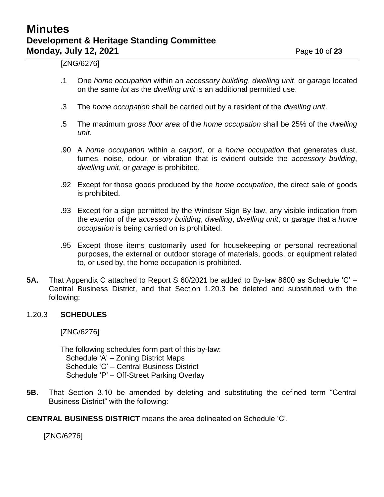# **Minutes Development & Heritage Standing Committee Monday, July 12, 2021 Page 10** of 23

[ZNG/6276]

- .1 One *home occupation* within an *accessory building*, *dwelling unit*, or *garage* located on the same *lot* as the *dwelling unit* is an additional permitted use.
- .3 The *home occupation* shall be carried out by a resident of the *dwelling unit*.
- .5 The maximum *gross floor area* of the *home occupation* shall be 25% of the *dwelling unit*.
- .90 A *home occupation* within a *carport*, or a *home occupation* that generates dust, fumes, noise, odour, or vibration that is evident outside the *accessory building*, *dwelling unit*, or *garage* is prohibited.
- .92 Except for those goods produced by the *home occupation*, the direct sale of goods is prohibited.
- .93 Except for a sign permitted by the Windsor Sign By-law, any visible indication from the exterior of the *accessory building*, *dwelling*, *dwelling unit*, or *garage* that a *home occupation* is being carried on is prohibited.
- .95 Except those items customarily used for housekeeping or personal recreational purposes, the external or outdoor storage of materials, goods, or equipment related to, or used by, the home occupation is prohibited.
- **5A.** That Appendix C attached to Report S 60/2021 be added to By-law 8600 as Schedule 'C' Central Business District, and that Section 1.20.3 be deleted and substituted with the following:

### 1.20.3 **SCHEDULES**

#### [ZNG/6276]

The following schedules form part of this by-law: Schedule 'A' – Zoning District Maps Schedule 'C' – Central Business District Schedule 'P' – Off-Street Parking Overlay

- **5B.** That Section 3.10 be amended by deleting and substituting the defined term "Central Business District" with the following:
- **CENTRAL BUSINESS DISTRICT** means the area delineated on Schedule 'C'.

[ZNG/6276]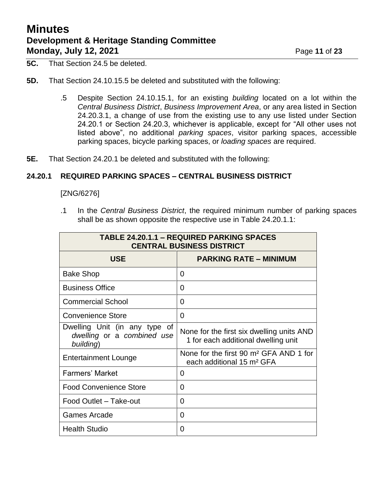# **Minutes Development & Heritage Standing Committee Monday, July 12, 2021 Page 11 of 23**

- **5C.** That Section 24.5 be deleted.
- **5D.** That Section 24.10.15.5 be deleted and substituted with the following:
	- .5 Despite Section 24.10.15.1, for an existing *building* located on a lot within the *Central Business District*, *Business Improvement Area*, or any area listed in Section 24.20.3.1, a change of use from the existing use to any use listed under Section 24.20.1 or Section 24.20.3, whichever is applicable, except for "All other uses not listed above", no additional *parking spaces*, visitor parking spaces, accessible parking spaces, bicycle parking spaces, or *loading spaces* are required.
- **5E.** That Section 24.20.1 be deleted and substituted with the following:

### **24.20.1 REQUIRED PARKING SPACES – CENTRAL BUSINESS DISTRICT**

### [ZNG/6276]

.1 In the *Central Business District*, the required minimum number of parking spaces shall be as shown opposite the respective use in Table 24.20.1.1:

| <b>TABLE 24.20.1.1 - REQUIRED PARKING SPACES</b><br><b>CENTRAL BUSINESS DISTRICT</b> |                                                                                             |  |
|--------------------------------------------------------------------------------------|---------------------------------------------------------------------------------------------|--|
| <b>USE</b>                                                                           | <b>PARKING RATE - MINIMUM</b>                                                               |  |
| <b>Bake Shop</b>                                                                     | 0                                                                                           |  |
| <b>Business Office</b>                                                               | 0                                                                                           |  |
| <b>Commercial School</b>                                                             | 0                                                                                           |  |
| <b>Convenience Store</b>                                                             | 0                                                                                           |  |
| Dwelling Unit (in any type of<br>dwelling or a combined use<br>building)             | None for the first six dwelling units AND<br>1 for each additional dwelling unit            |  |
| <b>Entertainment Lounge</b>                                                          | None for the first 90 m <sup>2</sup> GFA AND 1 for<br>each additional 15 m <sup>2</sup> GFA |  |
| <b>Farmers' Market</b>                                                               | O                                                                                           |  |
| <b>Food Convenience Store</b>                                                        | 0                                                                                           |  |
| Food Outlet - Take-out                                                               | 0                                                                                           |  |
| <b>Games Arcade</b>                                                                  | 0                                                                                           |  |
| <b>Health Studio</b>                                                                 | 0                                                                                           |  |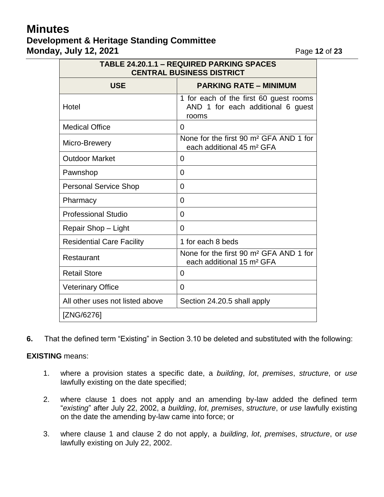# **Minutes**

# **Development & Heritage Standing Committee Monday, July 12, 2021 Page 12 of 23**

| <b>TABLE 24.20.1.1 - REQUIRED PARKING SPACES</b><br><b>CENTRAL BUSINESS DISTRICT</b> |                                                                                             |  |  |
|--------------------------------------------------------------------------------------|---------------------------------------------------------------------------------------------|--|--|
| <b>USE</b>                                                                           | <b>PARKING RATE - MINIMUM</b>                                                               |  |  |
| Hotel                                                                                | 1 for each of the first 60 guest rooms<br>AND 1 for each additional 6 guest<br>rooms        |  |  |
| <b>Medical Office</b>                                                                | 0                                                                                           |  |  |
| Micro-Brewery                                                                        | None for the first 90 m <sup>2</sup> GFA AND 1 for<br>each additional 45 m <sup>2</sup> GFA |  |  |
| <b>Outdoor Market</b>                                                                | 0                                                                                           |  |  |
| Pawnshop                                                                             | 0                                                                                           |  |  |
| <b>Personal Service Shop</b>                                                         | 0                                                                                           |  |  |
| Pharmacy                                                                             | 0                                                                                           |  |  |
| <b>Professional Studio</b>                                                           | 0                                                                                           |  |  |
| Repair Shop - Light                                                                  | 0                                                                                           |  |  |
| <b>Residential Care Facility</b>                                                     | 1 for each 8 beds                                                                           |  |  |
| Restaurant                                                                           | None for the first 90 m <sup>2</sup> GFA AND 1 for<br>each additional 15 m <sup>2</sup> GFA |  |  |
| <b>Retail Store</b>                                                                  | 0                                                                                           |  |  |
| <b>Veterinary Office</b>                                                             | 0                                                                                           |  |  |
| All other uses not listed above                                                      | Section 24.20.5 shall apply                                                                 |  |  |
| [ZNG/6276]                                                                           |                                                                                             |  |  |

**6.** That the defined term "Existing" in Section 3.10 be deleted and substituted with the following:

## **EXISTING** means:

- 1. where a provision states a specific date, a *building*, *lot*, *premises*, *structure*, or *use* lawfully existing on the date specified;
- 2. where clause 1 does not apply and an amending by-law added the defined term "*existing*" after July 22, 2002, a *building*, *lot*, *premises*, *structure*, or *use* lawfully existing on the date the amending by-law came into force; or
- 3. where clause 1 and clause 2 do not apply, a *building*, *lot*, *premises*, *structure*, or *use* lawfully existing on July 22, 2002.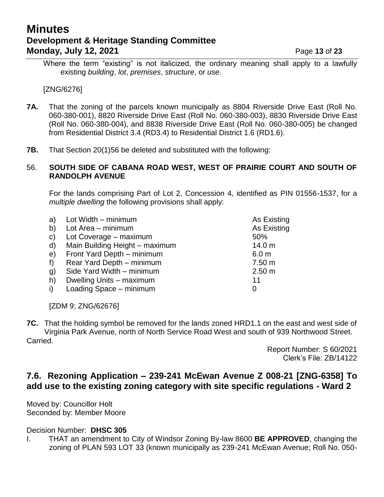# **Minutes Development & Heritage Standing Committee Monday, July 12, 2021 Page 13 of 23**

Where the term "existing" is not italicized, the ordinary meaning shall apply to a lawfully existing *building*, *lot*, *premises*, *structure*, or *use*.

### [ZNG/6276]

- **7A.** That the zoning of the parcels known municipally as 8804 Riverside Drive East (Roll No. 060-380-001), 8820 Riverside Drive East (Roll No. 060-380-003), 8830 Riverside Drive East (Roll No. 060-380-004), and 8838 Riverside Drive East (Roll No. 060-380-005) be changed from Residential District 3.4 (RD3.4) to Residential District 1.6 (RD1.6).
- **7B.** That Section 20(1)56 be deleted and substituted with the following:

### 56. **SOUTH SIDE OF CABANA ROAD WEST, WEST OF PRAIRIE COURT AND SOUTH OF RANDOLPH AVENUE**

For the lands comprising Part of Lot 2, Concession 4, identified as PIN 01556-1537, for a *multiple dwelling* the following provisions shall apply:

| a)           | Lot Width – minimum            | As Existing       |
|--------------|--------------------------------|-------------------|
| b)           | Lot Area - minimum             | As Existing       |
| $\mathbf{C}$ | Lot Coverage - maximum         | 50%               |
| $\mathsf{d}$ | Main Building Height - maximum | 14.0 <sub>m</sub> |
| e)           | Front Yard Depth - minimum     | 6.0 <sub>m</sub>  |
| f)           | Rear Yard Depth - minimum      | 7.50 m            |
| g)           | Side Yard Width - minimum      | 2.50 m            |
| h)           | Dwelling Units - maximum       | 11                |
|              | Loading Space - minimum        |                   |

[ZDM 9; ZNG/62676]

**7C.** That the holding symbol be removed for the lands zoned HRD1.1 on the east and west side of Virginia Park Avenue, north of North Service Road West and south of 939 Northwood Street. Carried.

> Report Number: S 60/2021 Clerk's File: ZB/14122

## **7.6. Rezoning Application – 239-241 McEwan Avenue Z 008-21 [ZNG-6358] To add use to the existing zoning category with site specific regulations - Ward 2**

Moved by: Councillor Holt Seconded by: Member Moore

Decision Number: **DHSC 305**

I. THAT an amendment to City of Windsor Zoning By-law 8600 **BE APPROVED**, changing the zoning of PLAN 593 LOT 33 (known municipally as 239-241 McEwan Avenue; Roll No. 050-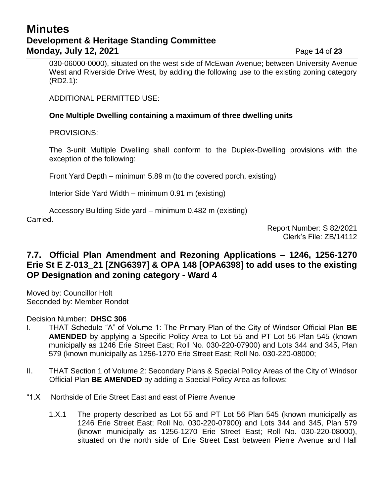## **Minutes Development & Heritage Standing Committee Monday, July 12, 2021 Page 14 of 23**

030-06000-0000), situated on the west side of McEwan Avenue; between University Avenue West and Riverside Drive West, by adding the following use to the existing zoning category (RD2.1):

ADDITIONAL PERMITTED USE:

### **One Multiple Dwelling containing a maximum of three dwelling units**

PROVISIONS:

The 3-unit Multiple Dwelling shall conform to the Duplex-Dwelling provisions with the exception of the following:

Front Yard Depth – minimum 5.89 m (to the covered porch, existing)

Interior Side Yard Width – minimum 0.91 m (existing)

Accessory Building Side yard – minimum 0.482 m (existing) Carried.

> Report Number: S 82/2021 Clerk's File: ZB/14112

## **7.7. Official Plan Amendment and Rezoning Applications – 1246, 1256-1270 Erie St E Z-013\_21 [ZNG6397] & OPA 148 [OPA6398] to add uses to the existing OP Designation and zoning category - Ward 4**

Moved by: Councillor Holt Seconded by: Member Rondot

Decision Number: **DHSC 306**

- I. THAT Schedule "A" of Volume 1: The Primary Plan of the City of Windsor Official Plan **BE AMENDED** by applying a Specific Policy Area to Lot 55 and PT Lot 56 Plan 545 (known municipally as 1246 Erie Street East; Roll No. 030-220-07900) and Lots 344 and 345, Plan 579 (known municipally as 1256-1270 Erie Street East; Roll No. 030-220-08000;
- II. THAT Section 1 of Volume 2: Secondary Plans & Special Policy Areas of the City of Windsor Official Plan **BE AMENDED** by adding a Special Policy Area as follows:
- "1.X Northside of Erie Street East and east of Pierre Avenue
	- 1.X.1 The property described as Lot 55 and PT Lot 56 Plan 545 (known municipally as 1246 Erie Street East; Roll No. 030-220-07900) and Lots 344 and 345, Plan 579 (known municipally as 1256-1270 Erie Street East; Roll No. 030-220-08000), situated on the north side of Erie Street East between Pierre Avenue and Hall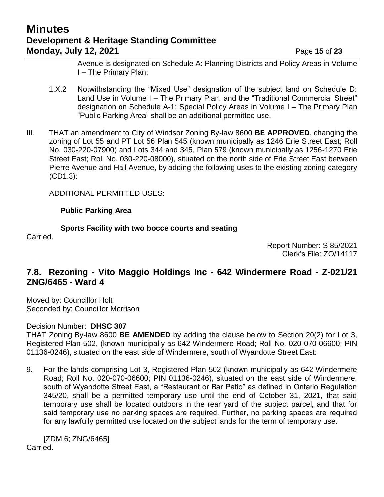# **Minutes Development & Heritage Standing Committee Monday, July 12, 2021 Page 15 of 23**

Avenue is designated on Schedule A: Planning Districts and Policy Areas in Volume I – The Primary Plan;

- 1.X.2 Notwithstanding the "Mixed Use" designation of the subject land on Schedule D: Land Use in Volume I – The Primary Plan, and the "Traditional Commercial Street" designation on Schedule A-1: Special Policy Areas in Volume I – The Primary Plan "Public Parking Area" shall be an additional permitted use.
- III. THAT an amendment to City of Windsor Zoning By-law 8600 **BE APPROVED**, changing the zoning of Lot 55 and PT Lot 56 Plan 545 (known municipally as 1246 Erie Street East; Roll No. 030-220-07900) and Lots 344 and 345, Plan 579 (known municipally as 1256-1270 Erie Street East; Roll No. 030-220-08000), situated on the north side of Erie Street East between Pierre Avenue and Hall Avenue, by adding the following uses to the existing zoning category (CD1.3):

ADDITIONAL PERMITTED USES:

### **Public Parking Area**

### **Sports Facility with two bocce courts and seating**

Carried.

Report Number: S 85/2021 Clerk's File: ZO/14117

## **7.8. Rezoning - Vito Maggio Holdings Inc - 642 Windermere Road - Z-021/21 ZNG/6465 - Ward 4**

Moved by: Councillor Holt Seconded by: Councillor Morrison

#### Decision Number: **DHSC 307**

THAT Zoning By-law 8600 **BE AMENDED** by adding the clause below to Section 20(2) for Lot 3, Registered Plan 502, (known municipally as 642 Windermere Road; Roll No. 020-070-06600; PIN 01136-0246), situated on the east side of Windermere, south of Wyandotte Street East:

9. For the lands comprising Lot 3, Registered Plan 502 (known municipally as 642 Windermere Road; Roll No. 020-070-06600; PIN 01136-0246), situated on the east side of Windermere, south of Wyandotte Street East, a "Restaurant or Bar Patio" as defined in Ontario Regulation 345/20, shall be a permitted temporary use until the end of October 31, 2021, that said temporary use shall be located outdoors in the rear yard of the subject parcel, and that for said temporary use no parking spaces are required. Further, no parking spaces are required for any lawfully permitted use located on the subject lands for the term of temporary use.

[ZDM 6; ZNG/6465] Carried.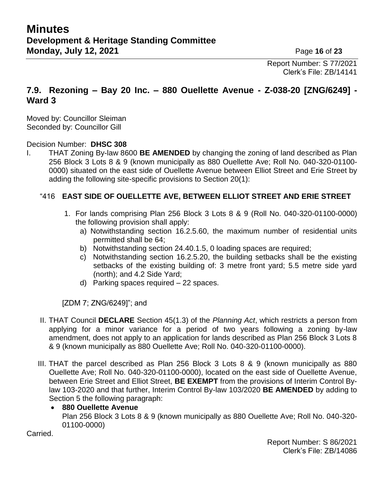Report Number: S 77/2021 Clerk's File: ZB/14141

## **7.9. Rezoning – Bay 20 Inc. – 880 Ouellette Avenue - Z-038-20 [ZNG/6249] - Ward 3**

Moved by: Councillor Sleiman Seconded by: Councillor Gill

### Decision Number: **DHSC 308**

I. THAT Zoning By-law 8600 **BE AMENDED** by changing the zoning of land described as Plan 256 Block 3 Lots 8 & 9 (known municipally as 880 Ouellette Ave; Roll No. 040-320-01100- 0000) situated on the east side of Ouellette Avenue between Elliot Street and Erie Street by adding the following site-specific provisions to Section 20(1):

### "416 **EAST SIDE OF OUELLETTE AVE, BETWEEN ELLIOT STREET AND ERIE STREET**

- 1. For lands comprising Plan 256 Block 3 Lots 8 & 9 (Roll No. 040-320-01100-0000) the following provision shall apply:
	- a) Notwithstanding section 16.2.5.60, the maximum number of residential units permitted shall be 64;
	- b) Notwithstanding section 24.40.1.5, 0 loading spaces are required;
	- c) Notwithstanding section 16.2.5.20, the building setbacks shall be the existing setbacks of the existing building of: 3 metre front yard; 5.5 metre side yard (north); and 4.2 Side Yard;
	- d) Parking spaces required 22 spaces.

[ZDM 7; ZNG/6249]"; and

- II. THAT Council **DECLARE** Section 45(1.3) of the *Planning Act*, which restricts a person from applying for a minor variance for a period of two years following a zoning by-law amendment, does not apply to an application for lands described as Plan 256 Block 3 Lots 8 & 9 (known municipally as 880 Ouellette Ave; Roll No. 040-320-01100-0000).
- III. THAT the parcel described as Plan 256 Block 3 Lots 8 & 9 (known municipally as 880 Ouellette Ave; Roll No. 040-320-01100-0000), located on the east side of Ouellette Avenue, between Erie Street and Elliot Street, **BE EXEMPT** from the provisions of Interim Control Bylaw 103-2020 and that further, Interim Control By-law 103/2020 **BE AMENDED** by adding to Section 5 the following paragraph:

# **880 Ouellette Avenue**

Plan 256 Block 3 Lots 8 & 9 (known municipally as 880 Ouellette Ave; Roll No. 040-320- 01100-0000)

Carried.

Report Number: S 86/2021 Clerk's File: ZB/14086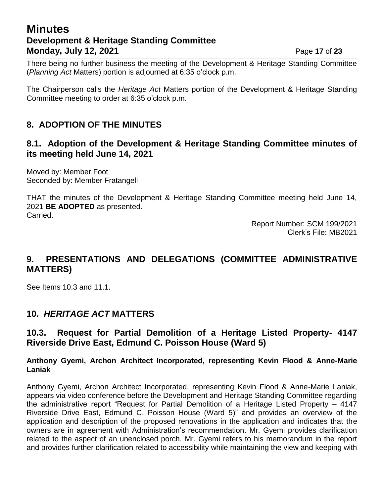## **Minutes Development & Heritage Standing Committee Monday, July 12, 2021 Page 17 of 23**

There being no further business the meeting of the Development & Heritage Standing Committee (*Planning Act* Matters) portion is adjourned at 6:35 o'clock p.m.

The Chairperson calls the *Heritage Act* Matters portion of the Development & Heritage Standing Committee meeting to order at 6:35 o'clock p.m.

# **8. ADOPTION OF THE MINUTES**

## **8.1. Adoption of the Development & Heritage Standing Committee minutes of its meeting held June 14, 2021**

Moved by: Member Foot Seconded by: Member Fratangeli

THAT the minutes of the Development & Heritage Standing Committee meeting held June 14, 2021 **BE ADOPTED** as presented. Carried.

> Report Number: SCM 199/2021 Clerk's File: MB2021

## **9. PRESENTATIONS AND DELEGATIONS (COMMITTEE ADMINISTRATIVE MATTERS)**

See Items 10.3 and 11.1.

## **10.** *HERITAGE ACT* **MATTERS**

## **10.3. Request for Partial Demolition of a Heritage Listed Property- 4147 Riverside Drive East, Edmund C. Poisson House (Ward 5)**

**Anthony Gyemi, Archon Architect Incorporated, representing Kevin Flood & Anne-Marie Laniak**

Anthony Gyemi, Archon Architect Incorporated, representing Kevin Flood & Anne-Marie Laniak, appears via video conference before the Development and Heritage Standing Committee regarding the administrative report "Request for Partial Demolition of a Heritage Listed Property – 4147 Riverside Drive East, Edmund C. Poisson House (Ward 5)" and provides an overview of the application and description of the proposed renovations in the application and indicates that the owners are in agreement with Administration's recommendation. Mr. Gyemi provides clarification related to the aspect of an unenclosed porch. Mr. Gyemi refers to his memorandum in the report and provides further clarification related to accessibility while maintaining the view and keeping with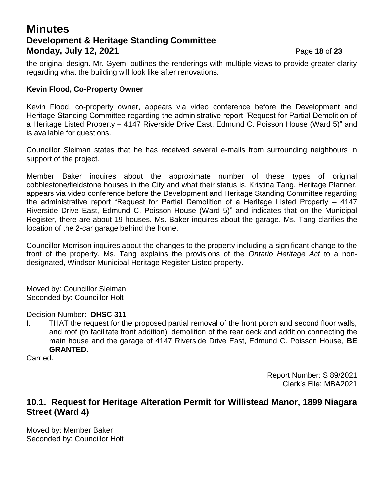# **Minutes Development & Heritage Standing Committee Monday, July 12, 2021 Page 18 of 23**

the original design. Mr. Gyemi outlines the renderings with multiple views to provide greater clarity regarding what the building will look like after renovations.

### **Kevin Flood, Co-Property Owner**

Kevin Flood, co-property owner, appears via video conference before the Development and Heritage Standing Committee regarding the administrative report "Request for Partial Demolition of a Heritage Listed Property – 4147 Riverside Drive East, Edmund C. Poisson House (Ward 5)" and is available for questions.

Councillor Sleiman states that he has received several e-mails from surrounding neighbours in support of the project.

Member Baker inquires about the approximate number of these types of original cobblestone/fieldstone houses in the City and what their status is. Kristina Tang, Heritage Planner, appears via video conference before the Development and Heritage Standing Committee regarding the administrative report "Request for Partial Demolition of a Heritage Listed Property – 4147 Riverside Drive East, Edmund C. Poisson House (Ward 5)" and indicates that on the Municipal Register, there are about 19 houses. Ms. Baker inquires about the garage. Ms. Tang clarifies the location of the 2-car garage behind the home.

Councillor Morrison inquires about the changes to the property including a significant change to the front of the property. Ms. Tang explains the provisions of the *Ontario Heritage Act* to a nondesignated, Windsor Municipal Heritage Register Listed property.

Moved by: Councillor Sleiman Seconded by: Councillor Holt

Decision Number: **DHSC 311**

I. THAT the request for the proposed partial removal of the front porch and second floor walls, and roof (to facilitate front addition), demolition of the rear deck and addition connecting the main house and the garage of 4147 Riverside Drive East, Edmund C. Poisson House, **BE GRANTED**.

Carried.

Report Number: S 89/2021 Clerk's File: MBA2021

## **10.1. Request for Heritage Alteration Permit for Willistead Manor, 1899 Niagara Street (Ward 4)**

Moved by: Member Baker Seconded by: Councillor Holt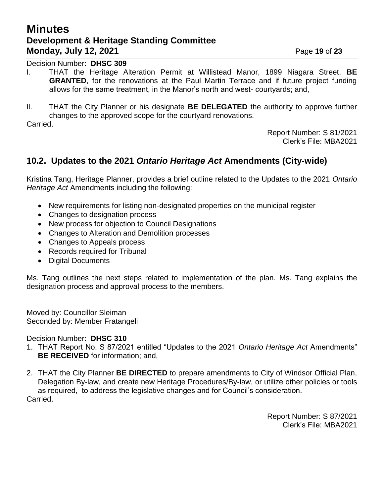# **Minutes Development & Heritage Standing Committee Monday, July 12, 2021 Page 19 of 23**

Decision Number: **DHSC 309**

- I. THAT the Heritage Alteration Permit at Willistead Manor, 1899 Niagara Street, **BE GRANTED**, for the renovations at the Paul Martin Terrace and if future project funding allows for the same treatment, in the Manor's north and west- courtyards; and,
- II. THAT the City Planner or his designate **BE DELEGATED** the authority to approve further changes to the approved scope for the courtyard renovations.

Carried.

Report Number: S 81/2021 Clerk's File: MBA2021

## **10.2. Updates to the 2021** *Ontario Heritage Act* **Amendments (City-wide)**

Kristina Tang, Heritage Planner, provides a brief outline related to the Updates to the 2021 *Ontario Heritage Act* Amendments including the following:

- New requirements for listing non-designated properties on the municipal register
- Changes to designation process
- New process for objection to Council Designations
- Changes to Alteration and Demolition processes
- Changes to Appeals process
- Records required for Tribunal
- Digital Documents

Ms. Tang outlines the next steps related to implementation of the plan. Ms. Tang explains the designation process and approval process to the members.

Moved by: Councillor Sleiman Seconded by: Member Fratangeli

Decision Number: **DHSC 310**

- 1. THAT Report No. S 87/2021 entitled "Updates to the 2021 *Ontario Heritage Act* Amendments" **BE RECEIVED** for information; and,
- 2. THAT the City Planner **BE DIRECTED** to prepare amendments to City of Windsor Official Plan, Delegation By-law, and create new Heritage Procedures/By-law, or utilize other policies or tools as required, to address the legislative changes and for Council's consideration. Carried.

Report Number: S 87/2021 Clerk's File: MBA2021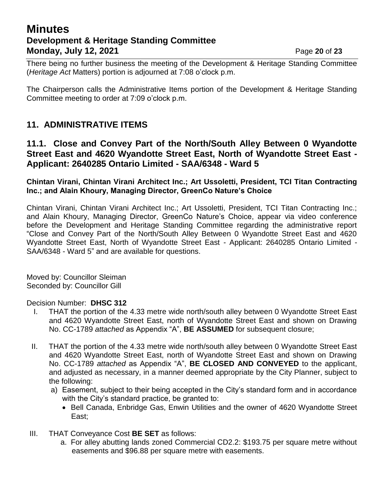# **Minutes Development & Heritage Standing Committee Monday, July 12, 2021 Page 20** of 23

There being no further business the meeting of the Development & Heritage Standing Committee (*Heritage Act* Matters) portion is adjourned at 7:08 o'clock p.m.

The Chairperson calls the Administrative Items portion of the Development & Heritage Standing Committee meeting to order at 7:09 o'clock p.m.

## **11. ADMINISTRATIVE ITEMS**

## **11.1. Close and Convey Part of the North/South Alley Between 0 Wyandotte Street East and 4620 Wyandotte Street East, North of Wyandotte Street East - Applicant: 2640285 Ontario Limited - SAA/6348 - Ward 5**

### **Chintan Virani, Chintan Virani Architect Inc.; Art Ussoletti, President, TCI Titan Contracting Inc.; and Alain Khoury, Managing Director, GreenCo Nature's Choice**

Chintan Virani, Chintan Virani Architect Inc.; Art Ussoletti, President, TCI Titan Contracting Inc.; and Alain Khoury, Managing Director, GreenCo Nature's Choice, appear via video conference before the Development and Heritage Standing Committee regarding the administrative report "Close and Convey Part of the North/South Alley Between 0 Wyandotte Street East and 4620 Wyandotte Street East, North of Wyandotte Street East - Applicant: 2640285 Ontario Limited - SAA/6348 - Ward 5" and are available for questions.

Moved by: Councillor Sleiman Seconded by: Councillor Gill

Decision Number: **DHSC 312**

- I. THAT the portion of the 4.33 metre wide north/south alley between 0 Wyandotte Street East and 4620 Wyandotte Street East, north of Wyandotte Street East and shown on Drawing No. CC-1789 *attached* as Appendix "A", **BE ASSUMED** for subsequent closure;
- II. THAT the portion of the 4.33 metre wide north/south alley between 0 Wyandotte Street East and 4620 Wyandotte Street East, north of Wyandotte Street East and shown on Drawing No. CC-1789 *attached* as Appendix "A", **BE CLOSED AND CONVEYED** to the applicant, and adjusted as necessary, in a manner deemed appropriate by the City Planner, subject to the following:
	- a) Easement, subject to their being accepted in the City's standard form and in accordance with the City's standard practice, be granted to:
		- Bell Canada, Enbridge Gas, Enwin Utilities and the owner of 4620 Wyandotte Street East;
- III. THAT Conveyance Cost **BE SET** as follows:
	- a. For alley abutting lands zoned Commercial CD2.2: \$193.75 per square metre without easements and \$96.88 per square metre with easements.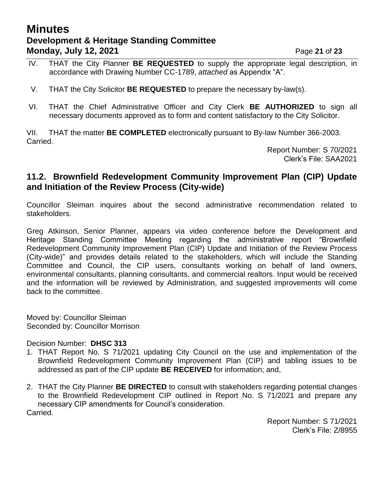# **Minutes Development & Heritage Standing Committee Monday, July 12, 2021 Page 21 of 23**

- IV. THAT the City Planner **BE REQUESTED** to supply the appropriate legal description, in accordance with Drawing Number CC-1789, *attached* as Appendix "A".
- V. THAT the City Solicitor **BE REQUESTED** to prepare the necessary by-law(s).
- VI. THAT the Chief Administrative Officer and City Clerk **BE AUTHORIZED** to sign all necessary documents approved as to form and content satisfactory to the City Solicitor.

VII. THAT the matter **BE COMPLETED** electronically pursuant to By-law Number 366-2003. Carried.

> Report Number: S 70/2021 Clerk's File: SAA2021

## **11.2. Brownfield Redevelopment Community Improvement Plan (CIP) Update and Initiation of the Review Process (City-wide)**

Councillor Sleiman inquires about the second administrative recommendation related to stakeholders.

Greg Atkinson, Senior Planner, appears via video conference before the Development and Heritage Standing Committee Meeting regarding the administrative report "Brownfield Redevelopment Community Improvement Plan (CIP) Update and Initiation of the Review Process (City-wide)" and provides details related to the stakeholders, which will include the Standing Committee and Council, the CIP users, consultants working on behalf of land owners, environmental consultants, planning consultants, and commercial realtors. Input would be received and the information will be reviewed by Administration, and suggested improvements will come back to the committee.

Moved by: Councillor Sleiman Seconded by: Councillor Morrison

Decision Number: **DHSC 313**

- 1. THAT Report No. S 71/2021 updating City Council on the use and implementation of the Brownfield Redevelopment Community Improvement Plan (CIP) and tabling issues to be addressed as part of the CIP update **BE RECEIVED** for information; and,
- 2. THAT the City Planner **BE DIRECTED** to consult with stakeholders regarding potential changes to the Brownfield Redevelopment CIP outlined in Report No. S 71/2021 and prepare any necessary CIP amendments for Council's consideration. Carried.

Report Number: S 71/2021 Clerk's File: Z/8955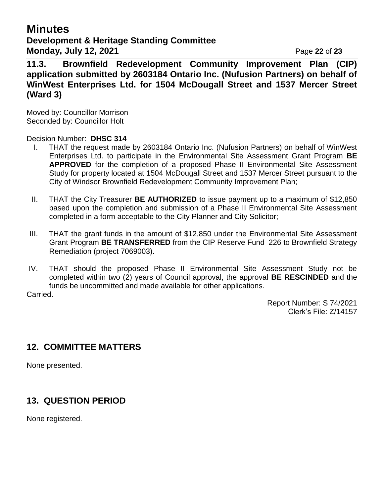## **Minutes Development & Heritage Standing Committee Monday, July 12, 2021 Page 22 of 23**

**11.3. Brownfield Redevelopment Community Improvement Plan (CIP) application submitted by 2603184 Ontario Inc. (Nufusion Partners) on behalf of WinWest Enterprises Ltd. for 1504 McDougall Street and 1537 Mercer Street (Ward 3)**

Moved by: Councillor Morrison Seconded by: Councillor Holt

### Decision Number: **DHSC 314**

- I. THAT the request made by 2603184 Ontario Inc. (Nufusion Partners) on behalf of WinWest Enterprises Ltd. to participate in the Environmental Site Assessment Grant Program **BE APPROVED** for the completion of a proposed Phase II Environmental Site Assessment Study for property located at 1504 McDougall Street and 1537 Mercer Street pursuant to the City of Windsor Brownfield Redevelopment Community Improvement Plan;
- II. THAT the City Treasurer **BE AUTHORIZED** to issue payment up to a maximum of \$12,850 based upon the completion and submission of a Phase II Environmental Site Assessment completed in a form acceptable to the City Planner and City Solicitor;
- III. THAT the grant funds in the amount of \$12,850 under the Environmental Site Assessment Grant Program **BE TRANSFERRED** from the CIP Reserve Fund 226 to Brownfield Strategy Remediation (project 7069003).
- IV. THAT should the proposed Phase II Environmental Site Assessment Study not be completed within two (2) years of Council approval, the approval **BE RESCINDED** and the funds be uncommitted and made available for other applications.

Carried.

Report Number: S 74/2021 Clerk's File: Z/14157

# **12. COMMITTEE MATTERS**

None presented.

# **13. QUESTION PERIOD**

None registered.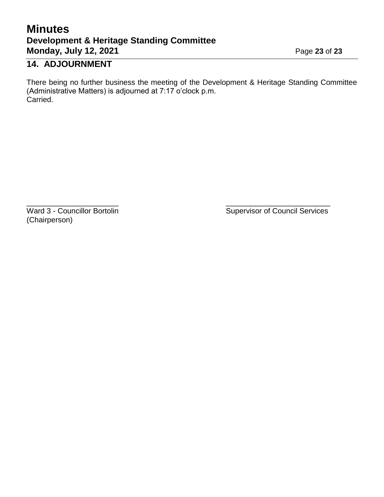# **Minutes Development & Heritage Standing Committee Monday, July 12, 2021 Page 23 of 23**

# **14. ADJOURNMENT**

There being no further business the meeting of the Development & Heritage Standing Committee (Administrative Matters) is adjourned at 7:17 o'clock p.m. Carried.

 $\overline{\phantom{a}}$  , and the contract of the contract of the contract of the contract of the contract of the contract of the contract of the contract of the contract of the contract of the contract of the contract of the contrac

(Chairperson)

Ward 3 - Councillor Bortolin Supervisor of Council Services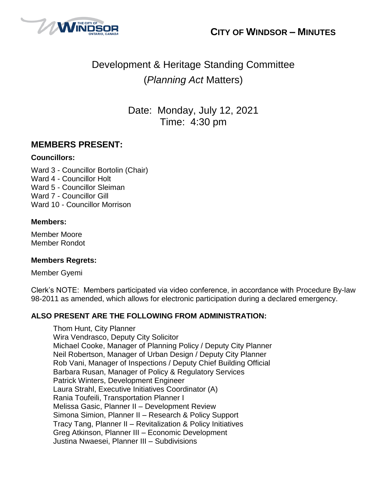



# Development & Heritage Standing Committee (*Planning Act* Matters)

Date: Monday, July 12, 2021 Time: 4:30 pm

## **MEMBERS PRESENT:**

### **Councillors:**

Ward 3 - Councillor Bortolin (Chair) Ward 4 - Councillor Holt Ward 5 - Councillor Sleiman Ward 7 - Councillor Gill Ward 10 - Councillor Morrison

### **Members:**

Member Moore Member Rondot

### **Members Regrets:**

Member Gyemi

Clerk's NOTE: Members participated via video conference, in accordance with Procedure By-law 98-2011 as amended, which allows for electronic participation during a declared emergency.

## **ALSO PRESENT ARE THE FOLLOWING FROM ADMINISTRATION:**

Thom Hunt, City Planner Wira Vendrasco, Deputy City Solicitor Michael Cooke, Manager of Planning Policy / Deputy City Planner Neil Robertson, Manager of Urban Design / Deputy City Planner Rob Vani, Manager of Inspections / Deputy Chief Building Official Barbara Rusan, Manager of Policy & Regulatory Services Patrick Winters, Development Engineer Laura Strahl, Executive Initiatives Coordinator (A) Rania Toufeili, Transportation Planner I Melissa Gasic, Planner II – Development Review Simona Simion, Planner II – Research & Policy Support Tracy Tang, Planner II – Revitalization & Policy Initiatives Greg Atkinson, Planner III – Economic Development Justina Nwaesei, Planner III – Subdivisions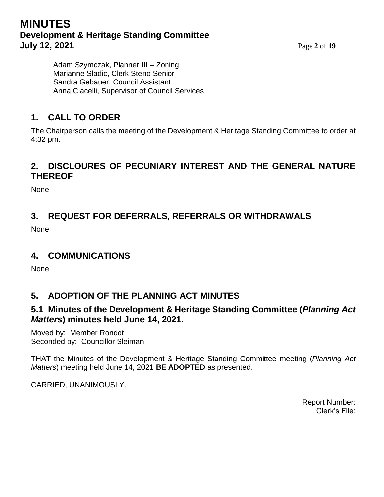# **MINUTES Development & Heritage Standing Committee July 12, 2021** Page 2 of 19

Adam Szymczak, Planner III – Zoning Marianne Sladic, Clerk Steno Senior Sandra Gebauer, Council Assistant Anna Ciacelli, Supervisor of Council Services

# **1. CALL TO ORDER**

The Chairperson calls the meeting of the Development & Heritage Standing Committee to order at 4:32 pm.

## **2. DISCLOURES OF PECUNIARY INTEREST AND THE GENERAL NATURE THEREOF**

None

# **3. REQUEST FOR DEFERRALS, REFERRALS OR WITHDRAWALS**

**None** 

## **4. COMMUNICATIONS**

None

# **5. ADOPTION OF THE PLANNING ACT MINUTES**

## **5.1 Minutes of the Development & Heritage Standing Committee (***Planning Act Matters***) minutes held June 14, 2021.**

Moved by: Member Rondot Seconded by: Councillor Sleiman

THAT the Minutes of the Development & Heritage Standing Committee meeting (*Planning Act Matters*) meeting held June 14, 2021 **BE ADOPTED** as presented.

CARRIED, UNANIMOUSLY.

Report Number: Clerk's File: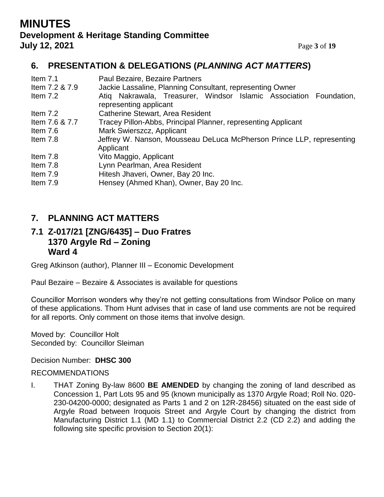## **MINUTES Development & Heritage Standing Committee July 12, 2021** Page 3 of 19

# **6. PRESENTATION & DELEGATIONS (***PLANNING ACT MATTERS***)**

| Item $7.1$     | Paul Bezaire, Bezaire Partners                                                               |  |  |
|----------------|----------------------------------------------------------------------------------------------|--|--|
| Item 7.2 & 7.9 | Jackie Lassaline, Planning Consultant, representing Owner                                    |  |  |
| Item $7.2$     | Atiq Nakrawala, Treasurer, Windsor Islamic Association Foundation,<br>representing applicant |  |  |
| Item $7.2$     | <b>Catherine Stewart, Area Resident</b>                                                      |  |  |
| Item 7.6 & 7.7 | Tracey Pillon-Abbs, Principal Planner, representing Applicant                                |  |  |
| Item 7.6       | Mark Swierszcz, Applicant                                                                    |  |  |
| Item 7.8       | Jeffrey W. Nanson, Mousseau DeLuca McPherson Prince LLP, representing<br>Applicant           |  |  |
| Item $7.8$     | Vito Maggio, Applicant                                                                       |  |  |
| Item $7.8$     | Lynn Pearlman, Area Resident                                                                 |  |  |
| Item 7.9       | Hitesh Jhaveri, Owner, Bay 20 Inc.                                                           |  |  |
| Item 7.9       | Hensey (Ahmed Khan), Owner, Bay 20 Inc.                                                      |  |  |

## **7. PLANNING ACT MATTERS**

## **7.1 Z-017/21 [ZNG/6435] – Duo Fratres 1370 Argyle Rd – Zoning Ward 4**

Greg Atkinson (author), Planner III – Economic Development

Paul Bezaire – Bezaire & Associates is available for questions

Councillor Morrison wonders why they're not getting consultations from Windsor Police on many of these applications. Thom Hunt advises that in case of land use comments are not be required for all reports. Only comment on those items that involve design.

Moved by: Councillor Holt Seconded by: Councillor Sleiman

Decision Number: **DHSC 300**

## RECOMMENDATIONS

I. THAT Zoning By-law 8600 **BE AMENDED** by changing the zoning of land described as Concession 1, Part Lots 95 and 95 (known municipally as 1370 Argyle Road; Roll No. 020- 230-04200-0000; designated as Parts 1 and 2 on 12R-28456) situated on the east side of Argyle Road between Iroquois Street and Argyle Court by changing the district from Manufacturing District 1.1 (MD 1.1) to Commercial District 2.2 (CD 2.2) and adding the following site specific provision to Section 20(1):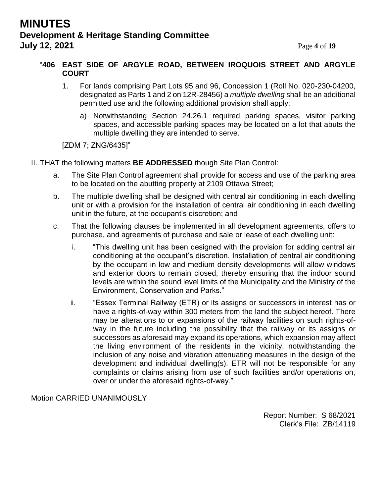### "**406 EAST SIDE OF ARGYLE ROAD, BETWEEN IROQUOIS STREET AND ARGYLE COURT**

- 1. For lands comprising Part Lots 95 and 96, Concession 1 (Roll No. 020-230-04200, designated as Parts 1 and 2 on 12R-28456) a *multiple dwelling* shall be an additional permitted use and the following additional provision shall apply:
	- a) Notwithstanding Section 24.26.1 required parking spaces, visitor parking spaces, and accessible parking spaces may be located on a lot that abuts the multiple dwelling they are intended to serve.

[ZDM 7; ZNG/6435]"

- II. THAT the following matters **BE ADDRESSED** though Site Plan Control:
	- a. The Site Plan Control agreement shall provide for access and use of the parking area to be located on the abutting property at 2109 Ottawa Street;
	- b. The multiple dwelling shall be designed with central air conditioning in each dwelling unit or with a provision for the installation of central air conditioning in each dwelling unit in the future, at the occupant's discretion; and
	- c. That the following clauses be implemented in all development agreements, offers to purchase, and agreements of purchase and sale or lease of each dwelling unit:
		- i. "This dwelling unit has been designed with the provision for adding central air conditioning at the occupant's discretion. Installation of central air conditioning by the occupant in low and medium density developments will allow windows and exterior doors to remain closed, thereby ensuring that the indoor sound levels are within the sound level limits of the Municipality and the Ministry of the Environment, Conservation and Parks."
		- ii. "Essex Terminal Railway (ETR) or its assigns or successors in interest has or have a rights-of-way within 300 meters from the land the subject hereof. There may be alterations to or expansions of the railway facilities on such rights-ofway in the future including the possibility that the railway or its assigns or successors as aforesaid may expand its operations, which expansion may affect the living environment of the residents in the vicinity, notwithstanding the inclusion of any noise and vibration attenuating measures in the design of the development and individual dwelling(s). ETR will not be responsible for any complaints or claims arising from use of such facilities and/or operations on, over or under the aforesaid rights-of-way."

Motion CARRIED UNANIMOUSLY

Report Number: S 68/2021 Clerk's File: ZB/14119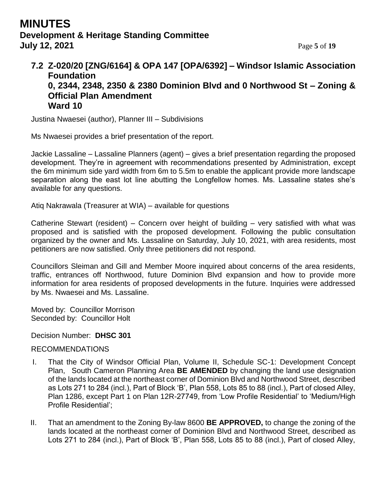# **MINUTES Development & Heritage Standing Committee July 12, 2021** Page **5** of **19**

## **7.2 Z-020/20 [ZNG/6164] & OPA 147 [OPA/6392] – Windsor Islamic Association Foundation 0, 2344, 2348, 2350 & 2380 Dominion Blvd and 0 Northwood St – Zoning & Official Plan Amendment Ward 10**

Justina Nwaesei (author), Planner III – Subdivisions

Ms Nwaesei provides a brief presentation of the report.

Jackie Lassaline – Lassaline Planners (agent) – gives a brief presentation regarding the proposed development. They're in agreement with recommendations presented by Administration, except the 6m minimum side yard width from 6m to 5.5m to enable the applicant provide more landscape separation along the east lot line abutting the Longfellow homes. Ms. Lassaline states she's available for any questions.

Atiq Nakrawala (Treasurer at WIA) – available for questions

Catherine Stewart (resident) – Concern over height of building – very satisfied with what was proposed and is satisfied with the proposed development. Following the public consultation organized by the owner and Ms. Lassaline on Saturday, July 10, 2021, with area residents, most petitioners are now satisfied. Only three petitioners did not respond.

Councillors Sleiman and Gill and Member Moore inquired about concerns of the area residents, traffic, entrances off Northwood, future Dominion Blvd expansion and how to provide more information for area residents of proposed developments in the future. Inquiries were addressed by Ms. Nwaesei and Ms. Lassaline.

Moved by: Councillor Morrison Seconded by: Councillor Holt

Decision Number: **DHSC 301**

### **I** RECOMMENDATIONS

- I. That the City of Windsor Official Plan, Volume II, Schedule SC-1: Development Concept Plan, South Cameron Planning Area **BE AMENDED** by changing the land use designation of the lands located at the northeast corner of Dominion Blvd and Northwood Street, described as Lots 271 to 284 (incl.), Part of Block 'B', Plan 558, Lots 85 to 88 (incl.), Part of closed Alley, Plan 1286, except Part 1 on Plan 12R-27749, from 'Low Profile Residential' to 'Medium/High Profile Residential';
- II. That an amendment to the Zoning By-law 8600 **BE APPROVED,** to change the zoning of the lands located at the northeast corner of Dominion Blvd and Northwood Street, described as Lots 271 to 284 (incl.), Part of Block 'B', Plan 558, Lots 85 to 88 (incl.), Part of closed Alley,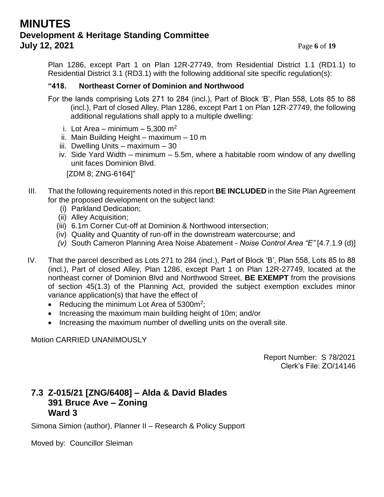# **MINUTES Development & Heritage Standing Committee July 12, 2021** Page **6** of **19**

Plan 1286, except Part 1 on Plan 12R-27749, from Residential District 1.1 (RD1.1) to Residential District 3.1 (RD3.1) with the following additional site specific regulation(s):

## **"418. Northeast Corner of Dominion and Northwood**

- For the lands comprising Lots 271 to 284 (incl.), Part of Block 'B', Plan 558, Lots 85 to 88 (incl.), Part of closed Alley, Plan 1286, except Part 1 on Plan 12R-27749, the following additional regulations shall apply to a multiple dwelling:
	- i. Lot Area minimum 5,300 m<sup>2</sup>
	- ii. Main Building Height maximum 10 m
	- iii. Dwelling Units maximum 30
	- iv. Side Yard Width minimum 5.5m, where a habitable room window of any dwelling unit faces Dominion Blvd.

[ZDM 8; ZNG-6164]"

- III. That the following requirements noted in this report **BE INCLUDED** in the Site Plan Agreement for the proposed development on the subject land:
	- (i) Parkland Dedication;
	- (ii) Alley Acquisition;
	- (iii) 6.1m Corner Cut-off at Dominion & Northwood intersection;
	- (iv) Quality and Quantity of run-off in the downstream watercourse; and
	- *(v)* South Cameron Planning Area Noise Abatement *Noise Control Area "E"* [4.7.1.9 (d)]
- IV. That the parcel described as Lots 271 to 284 (incl.), Part of Block 'B', Plan 558, Lots 85 to 88 (incl.), Part of closed Alley, Plan 1286, except Part 1 on Plan 12R-27749, located at the northeast corner of Dominion Blvd and Northwood Street, **BE EXEMPT** from the provisions of section 45(1.3) of the Planning Act, provided the subject exemption excludes minor variance application(s) that have the effect of
	- Reducing the minimum Lot Area of  $5300m^2$ ;
	- Increasing the maximum main building height of 10m; and/or
	- Increasing the maximum number of dwelling units on the overall site.

## Motion CARRIED UNANIMOUSLY

Report Number: S 78/2021 Clerk's File: ZO/14146

## **7.3 Z-015/21 [ZNG/6408] – Alda & David Blades 391 Bruce Ave – Zoning Ward 3**

Simona Simion (author), Planner II – Research & Policy Support

Moved by: Councillor Sleiman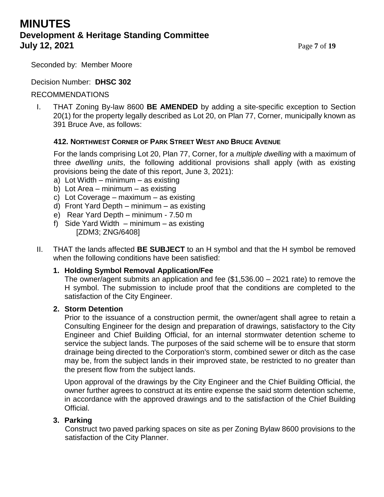Seconded by: Member Moore

### Decision Number: **DHSC 302**

### RECOMMENDATIONS

I. THAT Zoning By-law 8600 **BE AMENDED** by adding a site-specific exception to Section 20(1) for the property legally described as Lot 20, on Plan 77, Corner, municipally known as 391 Bruce Ave, as follows:

### **412. NORTHWEST CORNER OF PARK STREET WEST AND BRUCE AVENUE**

For the lands comprising Lot 20, Plan 77, Corner, for a *multiple dwelling* with a maximum of three *dwelling units*, the following additional provisions shall apply (with as existing provisions being the date of this report, June 3, 2021):

- a) Lot Width minimum as existing
- b) Lot Area minimum as existing
- c) Lot Coverage maximum as existing
- d) Front Yard Depth minimum as existing
- e) Rear Yard Depth minimum 7.50 m
- f) Side Yard Width minimum as existing [ZDM3; ZNG/6408]
- II. THAT the lands affected **BE SUBJECT** to an H symbol and that the H symbol be removed when the following conditions have been satisfied:

## **1. Holding Symbol Removal Application/Fee**

The owner/agent submits an application and fee (\$1,536.00 – 2021 rate) to remove the H symbol. The submission to include proof that the conditions are completed to the satisfaction of the City Engineer.

### **2. Storm Detention**

Prior to the issuance of a construction permit, the owner/agent shall agree to retain a Consulting Engineer for the design and preparation of drawings, satisfactory to the City Engineer and Chief Building Official, for an internal stormwater detention scheme to service the subject lands. The purposes of the said scheme will be to ensure that storm drainage being directed to the Corporation's storm, combined sewer or ditch as the case may be, from the subject lands in their improved state, be restricted to no greater than the present flow from the subject lands.

Upon approval of the drawings by the City Engineer and the Chief Building Official, the owner further agrees to construct at its entire expense the said storm detention scheme, in accordance with the approved drawings and to the satisfaction of the Chief Building Official.

### **3. Parking**

Construct two paved parking spaces on site as per Zoning Bylaw 8600 provisions to the satisfaction of the City Planner.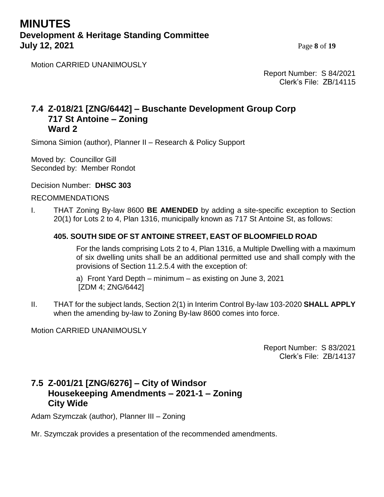# **MINUTES Development & Heritage Standing Committee July 12, 2021** Page **8** of **19**

Motion CARRIED UNANIMOUSLY

Report Number: S 84/2021 Clerk's File: ZB/14115

## **7.4 Z-018/21 [ZNG/6442] – Buschante Development Group Corp 717 St Antoine – Zoning Ward 2**

Simona Simion (author), Planner II – Research & Policy Support

Moved by: Councillor Gill Seconded by: Member Rondot

### Decision Number: **DHSC 303**

### RECOMMENDATIONS

I. THAT Zoning By-law 8600 **BE AMENDED** by adding a site-specific exception to Section 20(1) for Lots 2 to 4, Plan 1316, municipally known as 717 St Antoine St, as follows:

## **405. SOUTH SIDE OF ST ANTOINE STREET, EAST OF BLOOMFIELD ROAD**

For the lands comprising Lots 2 to 4, Plan 1316, a Multiple Dwelling with a maximum of six dwelling units shall be an additional permitted use and shall comply with the provisions of Section 11.2.5.4 with the exception of:

a) Front Yard Depth – minimum – as existing on June 3, 2021 [ZDM 4; ZNG/6442]

II. THAT for the subject lands, Section 2(1) in Interim Control By-law 103-2020 **SHALL APPLY** when the amending by-law to Zoning By-law 8600 comes into force.

Motion CARRIED UNANIMOUSLY

Report Number: S 83/2021 Clerk's File: ZB/14137

## **7.5 Z-001/21 [ZNG/6276] – City of Windsor Housekeeping Amendments – 2021-1 – Zoning City Wide**

Adam Szymczak (author), Planner III – Zoning

Mr. Szymczak provides a presentation of the recommended amendments.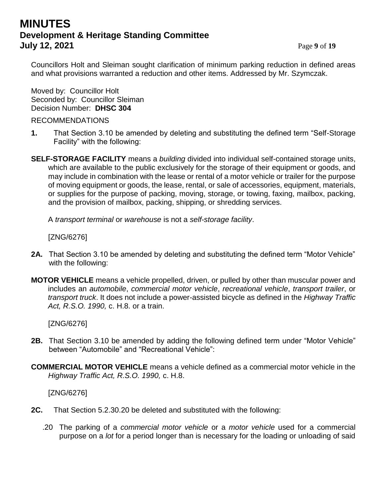# **MINUTES Development & Heritage Standing Committee July 12, 2021** Page **9** of **19**

Councillors Holt and Sleiman sought clarification of minimum parking reduction in defined areas and what provisions warranted a reduction and other items. Addressed by Mr. Szymczak.

Moved by: Councillor Holt Seconded by: Councillor Sleiman Decision Number: **DHSC 304**

### RECOMMENDATIONS

- **1.** That Section 3.10 be amended by deleting and substituting the defined term "Self-Storage Facility" with the following:
- **SELF-STORAGE FACILITY** means a *building* divided into individual self-contained storage units, which are available to the public exclusively for the storage of their equipment or goods, and may include in combination with the lease or rental of a motor vehicle or trailer for the purpose of moving equipment or goods, the lease, rental, or sale of accessories, equipment, materials, or supplies for the purpose of packing, moving, storage, or towing, faxing, mailbox, packing, and the provision of mailbox, packing, shipping, or shredding services.

A *transport terminal* or *warehouse* is not a *self-storage facility*.

[ZNG/6276]

- **2A.** That Section 3.10 be amended by deleting and substituting the defined term "Motor Vehicle" with the following:
- **MOTOR VEHICLE** means a vehicle propelled, driven, or pulled by other than muscular power and includes an *automobile*, *commercial motor vehicle*, *recreational vehicle*, *transport trailer*, or *transport truck*. It does not include a power-assisted bicycle as defined in the *Highway Traffic Act, R.S.O. 1990,* c. H.8. or a train.

[ZNG/6276]

- **2B.** That Section 3.10 be amended by adding the following defined term under "Motor Vehicle" between "Automobile" and "Recreational Vehicle":
- **COMMERCIAL MOTOR VEHICLE** means a vehicle defined as a commercial motor vehicle in the *Highway Traffic Act, R.S.O. 1990,* c. H.8.

[ZNG/6276]

- **2C.** That Section 5.2.30.20 be deleted and substituted with the following:
	- .20 The parking of a *commercial motor vehicle* or a *motor vehicle* used for a commercial purpose on a *lot* for a period longer than is necessary for the loading or unloading of said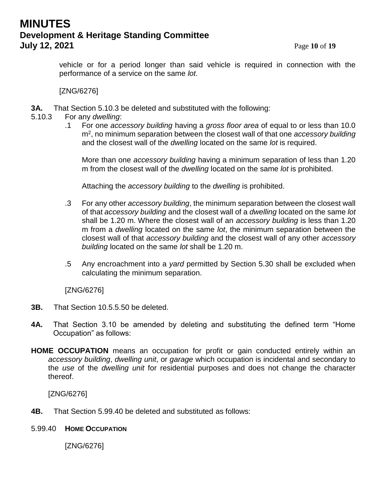# **MINUTES Development & Heritage Standing Committee July 12, 2021** Page 10 of 19

vehicle or for a period longer than said vehicle is required in connection with the performance of a service on the same *lot*.

### [ZNG/6276]

- **3A.** That Section 5.10.3 be deleted and substituted with the following:
- 5.10.3 For any *dwelling*:
	- .1 For one *accessory building* having a *gross floor area* of equal to or less than 10.0 m<sup>2</sup> , no minimum separation between the closest wall of that one *accessory building* and the closest wall of the *dwelling* located on the same *lot* is required.

More than one *accessory building* having a minimum separation of less than 1.20 m from the closest wall of the *dwelling* located on the same *lot* is prohibited.

Attaching the *accessory building* to the *dwelling* is prohibited.

- .3 For any other *accessory building*, the minimum separation between the closest wall of that *accessory building* and the closest wall of a *dwelling* located on the same *lot* shall be 1.20 m. Where the closest wall of an *accessory building* is less than 1.20 m from a *dwelling* located on the same *lot*, the minimum separation between the closest wall of that *accessory building* and the closest wall of any other *accessory building* located on the same *lot* shall be 1.20 m.
- .5 Any encroachment into a *yard* permitted by Section 5.30 shall be excluded when calculating the minimum separation.

[ZNG/6276]

- **3B.** That Section 10.5.5.50 be deleted.
- **4A.** That Section 3.10 be amended by deleting and substituting the defined term "Home Occupation" as follows:
- **HOME OCCUPATION** means an occupation for profit or gain conducted entirely within an *accessory building*, *dwelling unit*, or *garage* which occupation is incidental and secondary to the *use* of the *dwelling unit* for residential purposes and does not change the character thereof.

[ZNG/6276]

- **4B.** That Section 5.99.40 be deleted and substituted as follows:
- 5.99.40 **HOME OCCUPATION**

[ZNG/6276]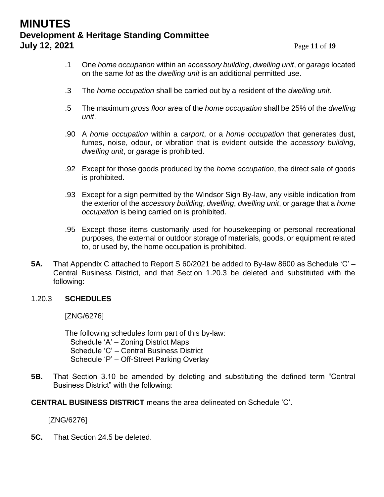# **MINUTES Development & Heritage Standing Committee July 12, 2021** Page 11 of 19

- .1 One *home occupation* within an *accessory building*, *dwelling unit*, or *garage* located on the same *lot* as the *dwelling unit* is an additional permitted use.
- .3 The *home occupation* shall be carried out by a resident of the *dwelling unit*.
- .5 The maximum *gross floor area* of the *home occupation* shall be 25% of the *dwelling unit*.
- .90 A *home occupation* within a *carport*, or a *home occupation* that generates dust, fumes, noise, odour, or vibration that is evident outside the *accessory building*, *dwelling unit*, or *garage* is prohibited.
- .92 Except for those goods produced by the *home occupation*, the direct sale of goods is prohibited.
- .93 Except for a sign permitted by the Windsor Sign By-law, any visible indication from the exterior of the *accessory building*, *dwelling*, *dwelling unit*, or *garage* that a *home occupation* is being carried on is prohibited.
- .95 Except those items customarily used for housekeeping or personal recreational purposes, the external or outdoor storage of materials, goods, or equipment related to, or used by, the home occupation is prohibited.
- **5A.** That Appendix C attached to Report S 60/2021 be added to By-law 8600 as Schedule 'C' Central Business District, and that Section 1.20.3 be deleted and substituted with the following:

### 1.20.3 **SCHEDULES**

[ZNG/6276]

The following schedules form part of this by-law: Schedule 'A' – Zoning District Maps Schedule 'C' – Central Business District Schedule 'P' – Off-Street Parking Overlay

**5B.** That Section 3.10 be amended by deleting and substituting the defined term "Central Business District" with the following:

**CENTRAL BUSINESS DISTRICT** means the area delineated on Schedule 'C'.

[ZNG/6276]

**5C.** That Section 24.5 be deleted.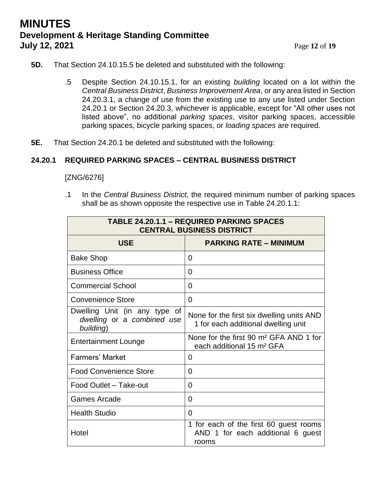## **MINUTES Development & Heritage Standing Committee July 12, 2021** Page 12 of 19

- **5D.** That Section 24.10.15.5 be deleted and substituted with the following:
	- .5 Despite Section 24.10.15.1, for an existing *building* located on a lot within the *Central Business District*, *Business Improvement Area*, or any area listed in Section 24.20.3.1, a change of use from the existing use to any use listed under Section 24.20.1 or Section 24.20.3, whichever is applicable, except for "All other uses not listed above", no additional *parking spaces*, visitor parking spaces, accessible parking spaces, bicycle parking spaces, or *loading spaces* are required.
- **5E.** That Section 24.20.1 be deleted and substituted with the following:

### **24.20.1 REQUIRED PARKING SPACES – CENTRAL BUSINESS DISTRICT**

### [ZNG/6276]

.1 In the *Central Business District*, the required minimum number of parking spaces shall be as shown opposite the respective use in Table 24.20.1.1:

| <b>TABLE 24.20.1.1 - REQUIRED PARKING SPACES</b><br><b>CENTRAL BUSINESS DISTRICT</b> |                                                                                             |  |
|--------------------------------------------------------------------------------------|---------------------------------------------------------------------------------------------|--|
| <b>USE</b>                                                                           | <b>PARKING RATE - MINIMUM</b>                                                               |  |
| <b>Bake Shop</b>                                                                     | 0                                                                                           |  |
| <b>Business Office</b>                                                               | 0                                                                                           |  |
| <b>Commercial School</b>                                                             | 0                                                                                           |  |
| <b>Convenience Store</b>                                                             | 0                                                                                           |  |
| Dwelling Unit (in any type of<br>dwelling or a combined use<br>building)             | None for the first six dwelling units AND<br>1 for each additional dwelling unit            |  |
| <b>Entertainment Lounge</b>                                                          | None for the first 90 m <sup>2</sup> GFA AND 1 for<br>each additional 15 m <sup>2</sup> GFA |  |
| <b>Farmers' Market</b>                                                               | 0                                                                                           |  |
| <b>Food Convenience Store</b>                                                        | 0                                                                                           |  |
| Food Outlet - Take-out                                                               | 0                                                                                           |  |
| Games Arcade                                                                         | Ω                                                                                           |  |
| <b>Health Studio</b>                                                                 | 0                                                                                           |  |
| Hotel                                                                                | 1 for each of the first 60 guest rooms<br>AND 1 for each additional 6 guest<br>rooms        |  |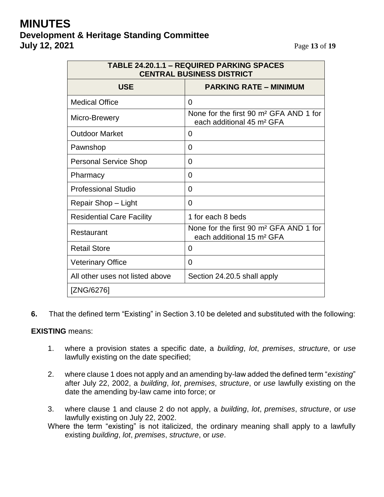# **MINUTES Development & Heritage Standing Committee July 12, 2021** Page 13 of 19

| <b>TABLE 24.20.1.1 - REQUIRED PARKING SPACES</b><br><b>CENTRAL BUSINESS DISTRICT</b> |                                                                                             |  |
|--------------------------------------------------------------------------------------|---------------------------------------------------------------------------------------------|--|
| <b>USE</b>                                                                           | <b>PARKING RATE - MINIMUM</b>                                                               |  |
| <b>Medical Office</b>                                                                | 0                                                                                           |  |
| Micro-Brewery                                                                        | None for the first 90 m <sup>2</sup> GFA AND 1 for<br>each additional 45 m <sup>2</sup> GFA |  |
| <b>Outdoor Market</b>                                                                | 0                                                                                           |  |
| Pawnshop                                                                             | 0                                                                                           |  |
| <b>Personal Service Shop</b>                                                         | 0                                                                                           |  |
| Pharmacy                                                                             | 0                                                                                           |  |
| <b>Professional Studio</b>                                                           | 0                                                                                           |  |
| Repair Shop - Light                                                                  | 0                                                                                           |  |
| <b>Residential Care Facility</b>                                                     | 1 for each 8 beds                                                                           |  |
| Restaurant                                                                           | None for the first 90 m <sup>2</sup> GFA AND 1 for<br>each additional 15 m <sup>2</sup> GFA |  |
| <b>Retail Store</b>                                                                  | 0                                                                                           |  |
| <b>Veterinary Office</b>                                                             | 0                                                                                           |  |
| All other uses not listed above                                                      | Section 24.20.5 shall apply                                                                 |  |
| [ZNG/6276]                                                                           |                                                                                             |  |

**6.** That the defined term "Existing" in Section 3.10 be deleted and substituted with the following:

### **EXISTING** means:

- 1. where a provision states a specific date, a *building*, *lot*, *premises*, *structure*, or *use* lawfully existing on the date specified;
- 2. where clause 1 does not apply and an amending by-law added the defined term "*existing*" after July 22, 2002, a *building*, *lot*, *premises*, *structure*, or *use* lawfully existing on the date the amending by-law came into force; or
- 3. where clause 1 and clause 2 do not apply, a *building*, *lot*, *premises*, *structure*, or *use* lawfully existing on July 22, 2002.
- Where the term "existing" is not italicized, the ordinary meaning shall apply to a lawfully existing *building*, *lot*, *premises*, *structure*, or *use*.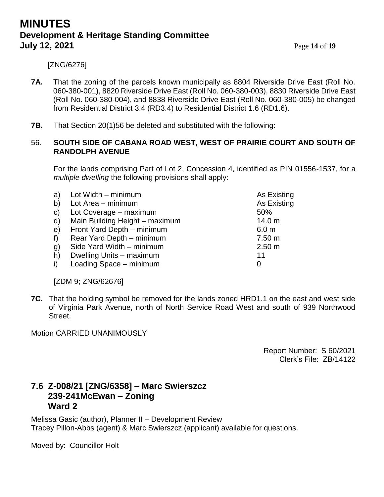# **MINUTES Development & Heritage Standing Committee July 12, 2021** Page 14 of 19

[ZNG/6276]

- **7A.** That the zoning of the parcels known municipally as 8804 Riverside Drive East (Roll No. 060-380-001), 8820 Riverside Drive East (Roll No. 060-380-003), 8830 Riverside Drive East (Roll No. 060-380-004), and 8838 Riverside Drive East (Roll No. 060-380-005) be changed from Residential District 3.4 (RD3.4) to Residential District 1.6 (RD1.6).
- **7B.** That Section 20(1)56 be deleted and substituted with the following:

### 56. **SOUTH SIDE OF CABANA ROAD WEST, WEST OF PRAIRIE COURT AND SOUTH OF RANDOLPH AVENUE**

For the lands comprising Part of Lot 2, Concession 4, identified as PIN 01556-1537, for a *multiple dwelling* the following provisions shall apply:

| a)           | Lot Width - minimum            | As Existing       |
|--------------|--------------------------------|-------------------|
| b)           | Lot Area - minimum             | As Existing       |
| $\mathbf{C}$ | Lot Coverage - maximum         | 50%               |
| $\mathsf{d}$ | Main Building Height - maximum | 14.0 <sub>m</sub> |
| e)           | Front Yard Depth - minimum     | 6.0 <sub>m</sub>  |
| f            | Rear Yard Depth - minimum      | 7.50 m            |
| g)           | Side Yard Width - minimum      | 2.50 m            |
| h)           | Dwelling Units - maximum       | 11                |
| i)           | Loading Space - minimum        |                   |
|              |                                |                   |

[ZDM 9; ZNG/62676]

**7C.** That the holding symbol be removed for the lands zoned HRD1.1 on the east and west side of Virginia Park Avenue, north of North Service Road West and south of 939 Northwood Street.

Motion CARRIED UNANIMOUSLY

Report Number: S 60/2021 Clerk's File: ZB/14122

## **7.6 Z-008/21 [ZNG/6358] – Marc Swierszcz 239-241McEwan – Zoning Ward 2**

Melissa Gasic (author), Planner II – Development Review Tracey Pillon-Abbs (agent) & Marc Swierszcz (applicant) available for questions.

Moved by: Councillor Holt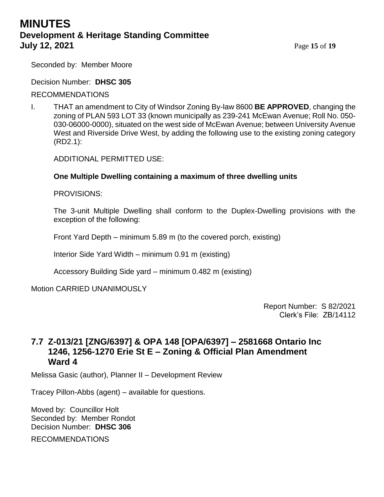# **MINUTES Development & Heritage Standing Committee July 12, 2021** Page **15** of **19**

Seconded by: Member Moore

Decision Number: **DHSC 305**

### RECOMMENDATIONS

I. THAT an amendment to City of Windsor Zoning By-law 8600 **BE APPROVED**, changing the zoning of PLAN 593 LOT 33 (known municipally as 239-241 McEwan Avenue; Roll No. 050- 030-06000-0000), situated on the west side of McEwan Avenue; between University Avenue West and Riverside Drive West, by adding the following use to the existing zoning category (RD2.1):

ADDITIONAL PERMITTED USE:

## **One Multiple Dwelling containing a maximum of three dwelling units**

PROVISIONS:

The 3-unit Multiple Dwelling shall conform to the Duplex-Dwelling provisions with the exception of the following:

Front Yard Depth – minimum 5.89 m (to the covered porch, existing)

Interior Side Yard Width – minimum 0.91 m (existing)

Accessory Building Side yard – minimum 0.482 m (existing)

Motion CARRIED UNANIMOUSLY

Report Number: S 82/2021 Clerk's File: ZB/14112

## **7.7 Z-013/21 [ZNG/6397] & OPA 148 [OPA/6397] – 2581668 Ontario Inc 1246, 1256-1270 Erie St E – Zoning & Official Plan Amendment Ward 4**

Melissa Gasic (author), Planner II – Development Review

Tracey Pillon-Abbs (agent) – available for questions.

Moved by: Councillor Holt Seconded by: Member Rondot Decision Number: **DHSC 306**

RECOMMENDATIONS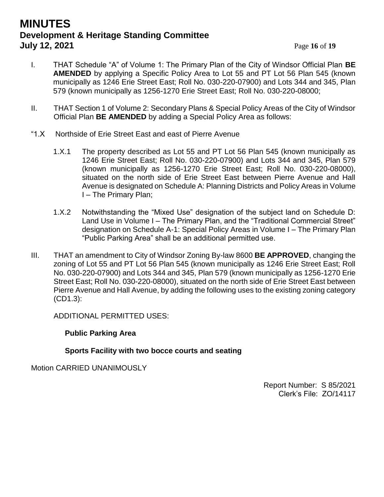## **MINUTES Development & Heritage Standing Committee July 12, 2021** Page 16 of 19

- I. THAT Schedule "A" of Volume 1: The Primary Plan of the City of Windsor Official Plan **BE AMENDED** by applying a Specific Policy Area to Lot 55 and PT Lot 56 Plan 545 (known municipally as 1246 Erie Street East; Roll No. 030-220-07900) and Lots 344 and 345, Plan 579 (known municipally as 1256-1270 Erie Street East; Roll No. 030-220-08000;
- II. THAT Section 1 of Volume 2: Secondary Plans & Special Policy Areas of the City of Windsor Official Plan **BE AMENDED** by adding a Special Policy Area as follows:
- "1.X Northside of Erie Street East and east of Pierre Avenue
	- 1.X.1 The property described as Lot 55 and PT Lot 56 Plan 545 (known municipally as 1246 Erie Street East; Roll No. 030-220-07900) and Lots 344 and 345, Plan 579 (known municipally as 1256-1270 Erie Street East; Roll No. 030-220-08000), situated on the north side of Erie Street East between Pierre Avenue and Hall Avenue is designated on Schedule A: Planning Districts and Policy Areas in Volume I – The Primary Plan;
	- 1.X.2 Notwithstanding the "Mixed Use" designation of the subject land on Schedule D: Land Use in Volume I – The Primary Plan, and the "Traditional Commercial Street" designation on Schedule A-1: Special Policy Areas in Volume I – The Primary Plan "Public Parking Area" shall be an additional permitted use.
- III. THAT an amendment to City of Windsor Zoning By-law 8600 **BE APPROVED**, changing the zoning of Lot 55 and PT Lot 56 Plan 545 (known municipally as 1246 Erie Street East; Roll No. 030-220-07900) and Lots 344 and 345, Plan 579 (known municipally as 1256-1270 Erie Street East; Roll No. 030-220-08000), situated on the north side of Erie Street East between Pierre Avenue and Hall Avenue, by adding the following uses to the existing zoning category (CD1.3):

ADDITIONAL PERMITTED USES:

## **Public Parking Area**

**Sports Facility with two bocce courts and seating**

Motion CARRIED UNANIMOUSLY

Report Number: S 85/2021 Clerk's File: ZO/14117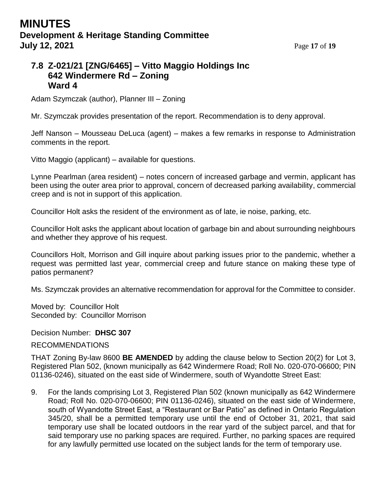# **MINUTES Development & Heritage Standing Committee July 12, 2021** Page **17** of **19**

## **7.8 Z-021/21 [ZNG/6465] – Vitto Maggio Holdings Inc 642 Windermere Rd – Zoning Ward 4**

Adam Szymczak (author), Planner III – Zoning

Mr. Szymczak provides presentation of the report. Recommendation is to deny approval.

Jeff Nanson – Mousseau DeLuca (agent) – makes a few remarks in response to Administration comments in the report.

Vitto Maggio (applicant) – available for questions.

Lynne Pearlman (area resident) – notes concern of increased garbage and vermin, applicant has been using the outer area prior to approval, concern of decreased parking availability, commercial creep and is not in support of this application.

Councillor Holt asks the resident of the environment as of late, ie noise, parking, etc.

Councillor Holt asks the applicant about location of garbage bin and about surrounding neighbours and whether they approve of his request.

Councillors Holt, Morrison and Gill inquire about parking issues prior to the pandemic, whether a request was permitted last year, commercial creep and future stance on making these type of patios permanent?

Ms. Szymczak provides an alternative recommendation for approval for the Committee to consider.

Moved by: Councillor Holt Seconded by: Councillor Morrison

Decision Number: **DHSC 307**

#### RECOMMENDATIONS

THAT Zoning By-law 8600 **BE AMENDED** by adding the clause below to Section 20(2) for Lot 3, Registered Plan 502, (known municipally as 642 Windermere Road; Roll No. 020-070-06600; PIN 01136-0246), situated on the east side of Windermere, south of Wyandotte Street East:

9. For the lands comprising Lot 3, Registered Plan 502 (known municipally as 642 Windermere Road; Roll No. 020-070-06600; PIN 01136-0246), situated on the east side of Windermere, south of Wyandotte Street East, a "Restaurant or Bar Patio" as defined in Ontario Regulation 345/20, shall be a permitted temporary use until the end of October 31, 2021, that said temporary use shall be located outdoors in the rear yard of the subject parcel, and that for said temporary use no parking spaces are required. Further, no parking spaces are required for any lawfully permitted use located on the subject lands for the term of temporary use.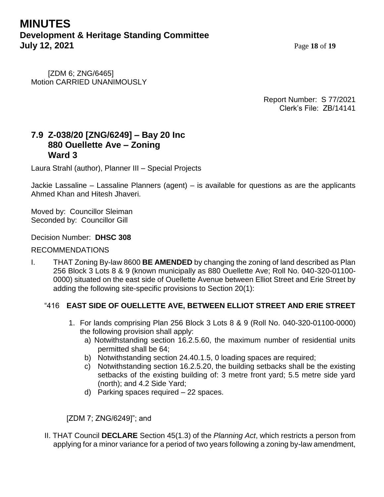# **MINUTES Development & Heritage Standing Committee July 12, 2021** Page 18 of 19

[ZDM 6; ZNG/6465] Motion CARRIED UNANIMOUSLY

> Report Number: S 77/2021 Clerk's File: ZB/14141

## **7.9 Z-038/20 [ZNG/6249] – Bay 20 Inc 880 Ouellette Ave – Zoning Ward 3**

Laura Strahl (author), Planner III – Special Projects

Jackie Lassaline – Lassaline Planners (agent) – is available for questions as are the applicants Ahmed Khan and Hitesh Jhaveri.

Moved by: Councillor Sleiman Seconded by: Councillor Gill

Decision Number: **DHSC 308**

### RECOMMENDATIONS

I. THAT Zoning By-law 8600 **BE AMENDED** by changing the zoning of land described as Plan 256 Block 3 Lots 8 & 9 (known municipally as 880 Ouellette Ave; Roll No. 040-320-01100- 0000) situated on the east side of Ouellette Avenue between Elliot Street and Erie Street by adding the following site-specific provisions to Section 20(1):

## "416 **EAST SIDE OF OUELLETTE AVE, BETWEEN ELLIOT STREET AND ERIE STREET**

- 1. For lands comprising Plan 256 Block 3 Lots 8 & 9 (Roll No. 040-320-01100-0000) the following provision shall apply:
	- a) Notwithstanding section 16.2.5.60, the maximum number of residential units permitted shall be 64;
	- b) Notwithstanding section 24.40.1.5, 0 loading spaces are required;
	- c) Notwithstanding section 16.2.5.20, the building setbacks shall be the existing setbacks of the existing building of: 3 metre front yard; 5.5 metre side yard (north); and 4.2 Side Yard;
	- d) Parking spaces required 22 spaces.

[ZDM 7; ZNG/6249]"; and

II. THAT Council **DECLARE** Section 45(1.3) of the *Planning Act*, which restricts a person from applying for a minor variance for a period of two years following a zoning by-law amendment,